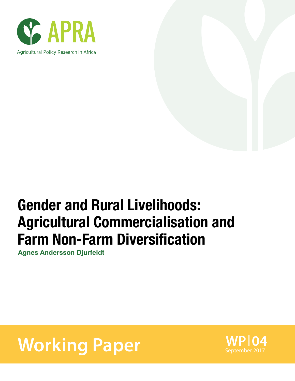

# Gender and Rural Livelihoods: Agricultural Commercialisation and Farm Non-Farm Diversification

Agnes Andersson Djurfeldt

# **Working Paper** September 2017

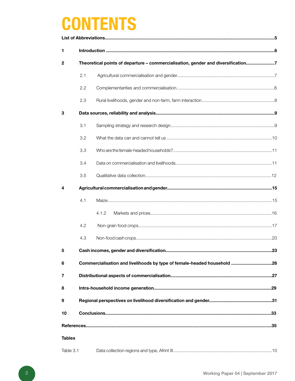# **CONTENTS**

| 1             |     |                                                                                  |     |
|---------------|-----|----------------------------------------------------------------------------------|-----|
| $\mathbf{2}$  |     | Theoretical points of departure - commercialisation, gender and diversification7 |     |
|               | 2.1 |                                                                                  |     |
|               | 2.2 |                                                                                  |     |
|               | 2.3 |                                                                                  |     |
| 3             |     |                                                                                  |     |
|               | 3.1 |                                                                                  |     |
|               | 3.2 |                                                                                  |     |
|               | 3.3 |                                                                                  |     |
|               | 3.4 |                                                                                  |     |
|               | 3.5 |                                                                                  |     |
| 4             |     |                                                                                  |     |
|               | 4.1 |                                                                                  |     |
|               |     | 4.1.2                                                                            |     |
|               | 4.2 |                                                                                  |     |
|               | 4.3 |                                                                                  |     |
| 5             |     | Cash incomes, gender and diversification                                         | .23 |
| 6             |     | Commercialisation and livelihoods by type of female-headed household 26          |     |
| 7             |     |                                                                                  |     |
| 8             |     |                                                                                  |     |
| 9             |     |                                                                                  |     |
| 10            |     |                                                                                  |     |
|               |     |                                                                                  |     |
| <b>Tables</b> |     |                                                                                  |     |
| Table 3.1     |     |                                                                                  |     |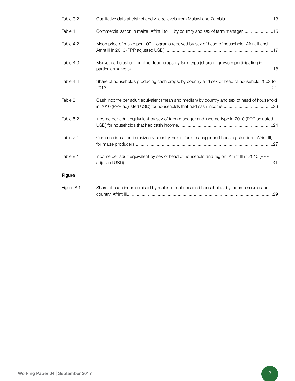| Table 3.2     |                                                                                              |
|---------------|----------------------------------------------------------------------------------------------|
| Table 4.1     | Commercialisation in maize, Afrint I to III, by country and sex of farm manager15            |
| Table 4.2     | Mean price of maize per 100 kilograms received by sex of head of household, Afrint II and    |
| Table 4.3     | Market participation for other food crops by farm type (share of growers participating in    |
| Table 4.4     | Share of households producing cash crops, by country and sex of head of household 2002 to    |
| Table 5.1     | Cash income per adult equivalent (mean and median) by country and sex of head of household   |
| Table 5.2     | Income per adult equivalent by sex of farm manager and income type in 2010 (PPP adjusted     |
| Table 7.1     | Commercialisation in maize by country, sex of farm manager and housing standard, Afrint III, |
| Table 9.1     | Income per adult equivalent by sex of head of household and region, Afrint III in 2010 (PPP  |
| <b>Figure</b> |                                                                                              |
| Figure 8.1    | Share of cash income raised by males in male-headed households, by income source and<br>.29  |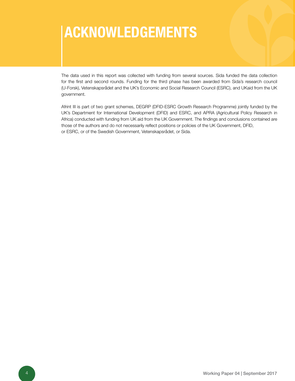# Acknowledgements

The data used in this report was collected with funding from several sources. Sida funded the data collection for the first and second rounds. Funding for the third phase has been awarded from Sida's research council (U-Forsk), Vetenskapsrådet and the UK's Economic and Social Research Council (ESRC), and UKaid from the UK government.

Afrint III is part of two grant schemes, DEGRP (DFID-ESRC Growth Research Programme) jointly funded by the UK's Department for International Development (DFID) and ESRC, and APRA (Agricultural Policy Research in Africa) conducted with funding from UK aid from the UK Government. The findings and conclusions contained are those of the authors and do not necessarily reflect positions or policies of the UK Government, DFID, or ESRC, or of the Swedish Government, Vetenskapsrådet, or Sida.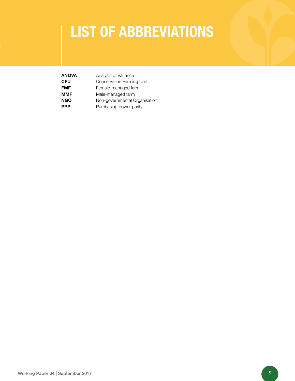# list of ABBREVIATIONS

| <b>ANOVA</b> | Analysis of Variance          |
|--------------|-------------------------------|
| <b>CFU</b>   | Conservation Farming Unit     |
| <b>FMF</b>   | Female-managed farm           |
| <b>MMF</b>   | Male-managed farm             |
| <b>NGO</b>   | Non-governmental Organisation |
| <b>PPP</b>   | Purchasing power parity       |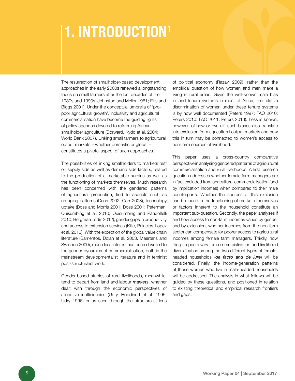# 1. INTRODUCTION<sup>1</sup>

The resurrection of smallholder-based development approaches in the early 2000s renewed a longstanding focus on small farmers after the lost decades of the 1980s and 1990s (Johnston and Mellor 1961; Ellis and Biggs 2001). Under the conceptual umbrella of 'propoor agricultural growth', inclusivity and agricultural commercialisation have become the guiding lights of policy agendas devoted to reforming African smallholder agriculture (Dorward, Kydd et al. 2004; World Bank 2007). Linking small farmers to agricultural output markets – whether domestic or global – constitutes a pivotal aspect of such approaches.

The possibilities of linking smallholders to markets rest on supply side as well as demand side factors, related to the production of a marketable surplus as well as the functioning of markets themselves. Much research has been concerned with the gendered patterns of agricultural production, tied to aspects such as cropping patterns (Doss 2002; Carr 2008), technology uptake (Doss and Morris 2001; Doss 2001; Peterman, Quisumbing et al. 2010; Quisumbing and Pandolfelli 2010; Bergman Lodin 2012), gender gaps in productivity and access to extension services (Kilic, Palacios-Lopez et al. 2013). With the exception of the global value chain literature (Barrientos, Dolan et al. 2003, Maertens and Swinnen 2009), much less interest has been devoted to the gender dynamics of commercialisation, both in the mainstream developmentalist literature and in feminist post-structuralist work.

Gender-based studies of rural livelihoods, meanwhile, tend to depart from land and labour *markets*, whether dealt with through the economic perspectives of allocative inefficiencies (Udry, Hoddinott et al. 1995; Udry 1996) or as seen through the structuralist lens

of political economy (Razavi 2009), rather than the empirical question of how women and men make a living in rural areas. Given the well-known male bias in land tenure systems in most of Africa, the relative discrimination of women under these tenure systems is by now well documented (Peters 1997; FAO 2010; Peters 2010; FAO 2011; Peters 2013). Less is known, however, of how or even if, such biases also translate into exclusion from agricultural output markets and how this in turn may be connected to women's access to non-farm sources of livelihood.

This paper uses a cross-country comparative perspective in analysing gendered patterns of agricultural commercialisation and rural livelihoods. A first research question addresses whether female farm managers are in fact excluded from agricultural commercialisation (and by implication incomes) when compared to their male counterparts. Whether the sources of this exclusion can be found in the functioning of markets themselves or factors inherent to the household constitute an important sub-question. Secondly, the paper analyses if and how access to non-farm incomes varies by gender and by extension, whether incomes from the non-farm sector can compensate for poorer access to agricultural incomes among female farm managers. Thirdly, how the prospects vary for commercialisation and livelihood diversification among the two different types of femaleheaded households (*de facto and de jure*) will be considered. Finally, the income-generation patterns of those women who live in male-headed households will be addressed. The analysis in what follows will be guided by these questions, and positioned in relation to existing theoretical and empirical research frontiers and gaps.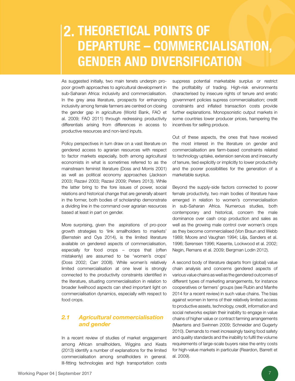## 2. THEORETICAL POINTS O departure – commercialisation, gender and diversification

As suggested initially, two main tenets underpin propoor growth approaches to agricultural development in sub-Saharan Africa: inclusivity and commercialisation. In the grey area literature, prospects for enhancing inclusivity among female farmers are centred on closing the gender gap in agriculture (World Bank, FAO et al. 2009; FAO 2011) through redressing productivity differentials arising from differences in access to productive resources and non-land inputs.

Policy perspectives in turn draw on a vast literature on gendered access to agrarian resources with respect to factor markets especially, both among agricultural economists in what is sometimes referred to as the mainstream feminist literature (Doss and Morris 2001) as well as political economy approaches (Jackson 2003; Razavi 2003; Razavi 2009; Peters 2013). While the latter bring to the fore issues of power, social relations and historical change that are generally absent in the former, both bodies of scholarship demonstrate a dividing line in the command over agrarian resources based at least in part on gender.

More surprising, given the aspirations of pro-poor growth strategies to 'link smallholders to markets' (Bernstein and Oya 2014), is the limited literature available on gendered aspects of commercialisation, especially for food crops – crops that (often mistakenly) are assumed to be 'women's crops' (Doss 2002; Carr 2008). While women's relatively limited commercialisation at one level is strongly connected to the productivity constraints identified in the literature, situating commercialisation in relation to broader livelihood aspects can shed important light on commercialisation dynamics, especially with respect to food crops.

### *2.1 Agricultural commercialisation and gender*

In a recent review of studies of market engagement among African smallholders, Wiggins and Keats (2013) identify a number of explanations for the limited commercialisation among smallholders in general. Ill-fitting technologies and high transportation costs

suppress potential marketable surplus or restrict the profitability of trading. High-risk environments characterised by insecure rights of tenure and erratic government policies supress commercialisation; credit constraints and inflated transaction costs provide further explanations. Monopsonistic output markets in some countries lower producer prices, hampering the incentives for selling produce.

Out of these aspects, the ones that have received the most interest in the literature on gender and commercialisation are farm-based constraints related to technology uptake, extension services and insecurity of tenure, tied explicitly or implicitly to lower productivity and the poorer possibilities for the generation of a marketable surplus.

Beyond the supply-side factors connected to poorer female productivity, two main bodies of literature have emerged in relation to women's commercialisation in sub-Saharan Africa. Numerous studies, both contemporary and historical, concern the male dominance over cash crop production and sales as well as the growing male control over women's crops as they become commercialised (Von Braun and Webb 1989; Moore and Vaughan 1994; Lilja, Sanders et al. 1996; Sørensen 1996; Kasente, Lockwood et al. 2002; Negin, Remans et al. 2009; Bergman Lodin 2012).

A second body of literature departs from (global) value chain analysis and concerns gendered aspects of various value chains as well as the gendered outcomes of different types of marketing arrangements, for instance cooperatives or farmers' groups (see Rubin and Manfre 2014 for a recent review) in such value chains. The bias against women in terms of their relatively limited access to productive assets, technology, credit, information and social networks explain their inability to engage in value chains of higher value or contract farming arrangements (Maertens and Swinnen 2009; Schneider and Gugerty 2010). Demands to meet increasingly taxing food safety and quality standards and the inability to fulfil the volume requirements of large-scale buyers raise the entry costs for high-value markets in particular (Reardon, Barrett et al. 2009).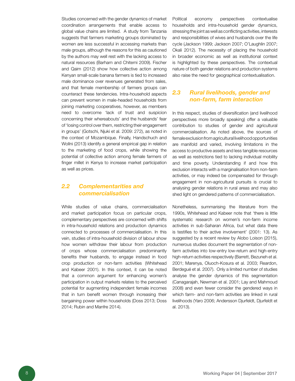Studies concerned with the gender dynamics of market coordination arrangements that enable access to global value chains are limited. A study from Tanzania suggests that farmers marketing groups dominated by women are less successful in accessing markets than male groups, although the reasons for this as cautioned by the authors may well rest with the lacking access to natural resources (Barham and Chitemi 2009). Fischer and Qaim (2012) show how collective action among Kenyan small-scale banana farmers is tied to increased male dominance over revenues generated from sales, and that female membership of farmers groups can counteract these tendencies. Intra-household aspects can prevent women in male-headed households from joining marketing cooperatives, however, as members need to overcome 'lack of trust and suspicion concerning their whereabouts' and the husbands' fear of 'losing control over them, restricting their engagement in groups' (Gotschi, Njuki et al. 2009: 272), as noted in the context of Mozambique. Finally, Handschuch and Wollni (2013) identify a general empirical gap in relation to the marketing of food crops, while showing the potential of collective action among female farmers of finger millet in Kenya to increase market participation as well as prices.

### *2.2 Complementarities and commercialisation*

While studies of value chains, commercialisation and market participation focus on particular crops, complementary perspectives are concerned with shifts in intra-household relations and production dynamics connected to processes of commercialisation. In this vein, studies of intra-household division of labour show how women withdraw their labour from production of crops whose commercialisation predominantly benefits their husbands, to engage instead in food crop production or non-farm activities (Whitehead and Kabeer 2001). In this context, it can be noted that a common argument for enhancing women's participation in output markets relates to the perceived potential for augmenting independent female incomes that in turn benefit women through increasing their bargaining power within households (Doss 2013; Doss 2014; Rubin and Manfre 2014).

Political economy perspectives contextualise households and intra-household gender dynamics, stressing the joint as well as conflicting activities, interests and responsibilities of wives and husbands over the life cycle (Jackson 1999; Jackson 2007; O'Laughlin 2007; Okali 2012). The necessity of placing the household in broader economic as well as institutional context is highlighted by these perspectives. The contextual nature of both gender relations and production systems also raise the need for geographical contextualisation.

### *2.3 Rural livelihoods, gender and non-farm, farm interaction*

In this respect, studies of diversification (and livelihood perspectives more broadly speaking) offer a valuable contribution to studies of gender and agricultural commercialisation. As noted above, the sources of female exclusion from agricultural livelihood opportunities are manifold and varied, involving limitations in the access to productive assets and less tangible resources as well as restrictions tied to lacking individual mobility and time poverty. Understanding if and how this exclusion interacts with a marginalisation from non-farm activities, or may indeed be compensated for through engagement in non-agricultural pursuits is crucial to analysing gender relations in rural areas and may also shed light on gendered patterns of commercialisation.

Nonetheless, summarising the literature from the 1990s, Whitehead and Kabeer note that 'there is little systematic research on women's non-farm income activities in sub-Saharan Africa, but what data there is testifies to their active involvement' (2001: 13). As suggested by a recent review by Alobo Loison (2015), numerous studies document the segmentation of nonfarm activities into low-entry low-return and high-entry high-return activities respectively (Barrett, Bezuneh et al. 2001; Marenya, Oluoch-Kosura et al. 2003; Reardon, Berdegué et al. 2007). Only a limited number of studies analyse the gender dynamics of this segmentation (Canagarajah, Newman et al. 2001; Lay and Mahmoud 2008) and even fewer consider the gendered ways in which farm- and non-farm activities are linked in rural livelihoods (Yaro 2006; Andersson Djurfeldt, Djurfeldt et al. 2013).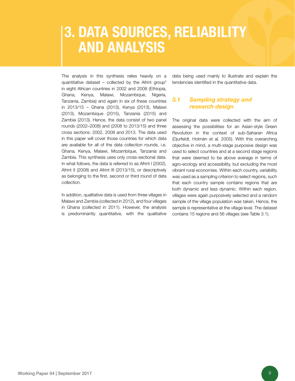# **3. DATA SOURCES, RELIABILITY** and analysis

The analysis in this synthesis relies heavily on a quantitative dataset – collected by the Afrint group<sup>2</sup> in eight African countries in 2002 and 2008 (Ethiopia, Ghana, Kenya, Malawi, Mozambique, Nigeria, Tanzania, Zambia) and again in six of these countries in 2013/15 – Ghana (2013), Kenya (2013), Malawi (2013), Mozambique (2015), Tanzania (2015) and Zambia (2013). Hence, the data consist of two panel rounds (2002–2008) and (2008 to 2013/15) and three cross sections: 2002, 2008 and 2013. The data used in this paper will cover those countries for which data are available for all of the data collection rounds, i.e. Ghana, Kenya, Malawi, Mozambique, Tanzania and Zambia. This synthesis uses only cross-sectional data. In what follows, the data is referred to as Afrint I (2002), Afrint II (2008) and Afrint III (2013/15), or descriptively as belonging to the first, second or third round of data collection.

In addition, qualitative data is used from three villages in Malawi and Zambia (collected in 2012), and four villages in Ghana (collected in 2011). However, the analysis is predominantly quantitative, with the qualitative

data being used mainly to illustrate and explain the tendencies identified in the quantitative data.

### *3.1 Sampling strategy and research design*

The original data were collected with the aim of assessing the possibilities for an Asian-style Green Revolution in the context of sub-Saharan Africa (Djurfeldt, Holmén et al. 2005). With this overarching objective in mind, a multi-stage purposive design was used to select countries and at a second stage regions that were deemed to be above average in terms of agro-ecology and accessibility, but excluding the most vibrant rural economies. Within each country, variability was used as a sampling criterion to select regions, such that each country sample contains regions that are both dynamic and less dynamic. Within each region, villages were again purposively selected and a random sample of the village population was taken. Hence, the sample is representative at the village level. The dataset contains 15 regions and 56 villages (see Table 3.1).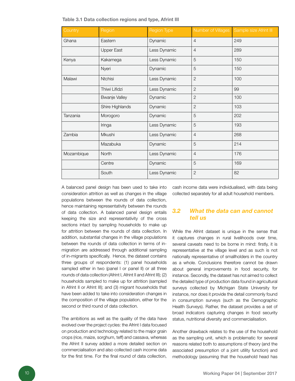Table 3.1 Data collection regions and type, Afrint III

| Country    | Region               | Region Type  | Number of Villages | Sample size Afrint III |
|------------|----------------------|--------------|--------------------|------------------------|
| Ghana      | Eastern              | Dynamic      | $\overline{4}$     | 249                    |
|            | <b>Upper East</b>    | Less Dynamic | $\overline{4}$     | 289                    |
| Kenya      | Kakamega             | Less Dynamic | 5                  | 150                    |
|            | Nyeri                | Dynamic      | 5                  | 150                    |
| Malawi     | Ntchisi              | Less Dynamic | $\mathbf{2}$       | 100                    |
|            | Thiwi Lifidzi        | Less Dynamic | $\mathbf{2}$       | 99                     |
|            | <b>Bwanje Valley</b> | Dynamic      | $\overline{2}$     | 100                    |
|            | Shire Highlands      | Dynamic      | $\overline{c}$     | 103                    |
| Tanzania   | Morogoro             | Dynamic      | 5                  | 202                    |
|            | Iringa               | Less Dynamic | 5                  | 193                    |
| Zambia     | Mkushi               | Less Dynamic | $\overline{4}$     | 268                    |
|            | Mazabuka             | Dynamic      | 5                  | 214                    |
| Mozambique | <b>North</b>         | Less Dynamic | $\overline{4}$     | 176                    |
|            | Centre               | Dynamic      | 5                  | 169                    |
|            | South                | Less Dynamic | $\overline{2}$     | 82                     |

A balanced panel design has been used to take into consideration attrition as well as changes in the village populations between the rounds of data collection, hence maintaining representativity between the rounds of data collection. A balanced panel design entails keeping the size and representativity of the cross sections intact by sampling households to make up for attrition between the rounds of data collection. In addition, substantial changes in the village populations between the rounds of data collection in terms of inmigration are addressed through additional sampling of in-migrants specifically. Hence, the dataset contains three groups of respondents: (1) panel households sampled either in two (panel I or panel II) or all three rounds of data collection (Afrint I, Afrint II and Afrint III); (2) households sampled to make up for attrition (sampled in Afrint II or Afrint III); and (3) migrant households that have been added to take into consideration changes in the composition of the village population, either for the second or third round of data collection.

The ambitions as well as the quality of the data have evolved over the project cycles: the Afrint I data focused on production and technology related to the major grain crops (rice, maize, sorghum, teff) and cassava, whereas the Afrint II survey added a more detailed section on commercialisation and also collected cash income data for the first time. For the final round of data collection,

cash income data were individualised, with data being collected separately for all adult household members.

### *3.2 What the data can and cannot tell us*

While the Afrint dataset is unique in the sense that it captures changes in rural livelihoods over time, several caveats need to be borne in mind: firstly, it is representative at the village level and as such is not nationally representative of smallholders in the country as a whole. Conclusions therefore cannot be drawn about general improvements in food security, for instance. Secondly, the dataset has not aimed to collect the detailed type of production data found in agricultural surveys collected by Michigan State University for instance, nor does it provide the detail commonly found in consumption surveys (such as the Demographic Health Surveys). Rather, the dataset provides a set of broad indicators capturing changes in food security status, nutritional diversity and commercialisation.

Another drawback relates to the use of the household as the sampling unit, which is problematic for several reasons related both to assumptions of theory (and the associated presumption of a joint utility function) and methodology (assuming that the household head has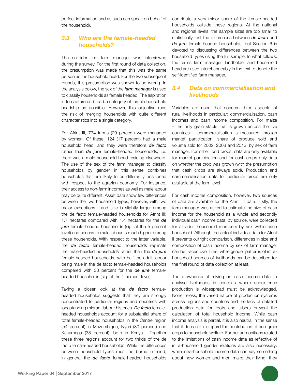perfect information and as such can speak on behalf of the household).

### *3.3 Who are the female-headed households?*

The self-identified farm manager was interviewed during the survey. For the first round of data collection, the presumption was made that this was the same person as the household head. For the two subsequent rounds, this presumption was shown to be wrong. In the analysis below, the sex of the *farm manager* is used to classify households as female headed. The aspiration is to capture as broad a category of female household headship as possible. However, this objective runs the risk of merging households with quite different characteristics into a single category.

For Afrint III, 734 farms (29 percent) were managed by women. Of these, 124 (17 percent) had a male household head, and they were therefore *de facto* rather than *de jure* female-headed households, i.e. there was a male household head residing elsewhere. The use of the sex of the farm manager to classify households by gender in this sense combines households that are likely to be differently positioned with respect to the agrarian economy. For instance, their access to non-farm incomes as well as male labour may be quite different. Asset data show few differences between the two household types, however, with two major exceptions. Land size is slightly larger among the de facto female-headed households for Afrint III: 1.7 hectares compared with 1.4 hectares for the *de jure* female-headed households (sig. at the 5 percent level) and access to male labour is much higher among these households. With respect to the latter variable, the *de facto* female-headed households replicate the male-headed households rather than the *de jure* female-headed households, with half the adult labour being male in the de facto female-headed households compared with 38 percent for the *de jure* femaleheaded households (sig. at the 1 percent level).

Taking a closer look at the *de facto* femaleheaded households suggests that they are strongly concentrated to particular regions and countries with longstanding migrant labour histories. *De facto* femaleheaded households account for a substantial share of total female-headed households in the Centre region (54 percent) in Mozambique, Nyeri (30 percent) and Kakamega (38 percent), both in Kenya. Together these three regions account for two thirds of the de facto female-headed households. While the differences between household types must be borne in mind, in general the *de facto* female-headed households contribute a very minor share of the female-headed households outside these regions. At the national and regional levels, the sample sizes are too small to statistically test the differences between *de facto* and *de jure* female-headed households, but Section 6 is devoted to discussing differences between the two household types using the full sample. In what follows, the terms farm manager, landholder and household head are used interchangeably in the text to denote the self-identified farm manager.

### *3.4 Data on commercialisation and livelihoods*

Variables are used that concern three aspects of rural livelihoods in particular: commercialisation, cash incomes and cash income composition. For maize – the only grain staple that is grown across the five countries – commercialisation is measured through market participation, share of produce sold and volume sold for 2002, 2008 and 2013, by sex of farm manager. For other food crops, data are only available for market participation and for cash crops only data on whether the crop was grown (with the presumption that cash crops are always sold). Production and commercialisation data for particular crops are only available at the farm level.

For cash income composition, however, two sources of data are available for the Afrint III data: firstly, the farm manager was asked to estimate the size of cash income for the household as a whole and secondly individual cash income data, by source, were collected for all adult household members by sex within each household. Although the lack of individual data for Afrint II prevents outright comparison, differences in size and composition of cash income by sex of farm manager can be traced over time, while gender patterns of intrahousehold sources of livelihoods can be described for the final round of data collection at least.

The drawbacks of relying on cash income data to analyse livelihoods in contexts where subsistence production is widespread must be acknowledged. Nonetheless, the varied nature of production systems across regions and countries and the lack of detailed production data for roots and tubers prevent the calculation of total household income. While cash income analysis is partial, it is also neutral in the sense that it does not disregard the contribution of non-grain crops to household welfare. Further admonitions related to the limitations of cash income data as reflective of intra-household gender relations are also necessary: while intra-household income data can say something about how women and men make their living, they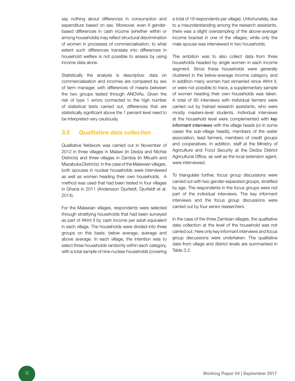say nothing about differences in consumption and expenditure based on sex. Moreover, even if genderbased differences in cash income (whether within or among households) may reflect structural discrimination of women in processes of commercialisation, to what extent such differences translate into differences in household welfare is not possible to assess by using income data alone.

Statistically the analysis is descriptive: data on commercialisation and incomes are compared by sex of farm manager, with differences of means between the two groups tested through ANOVAs. Given the risk of type 1 errors connected to the high number of statistical tests carried out, differences that are statistically significant above the 1 percent level need to be interpreted very cautiously.

#### *3.5 Qualitative data collection*

Qualitative fieldwork was carried out in November of 2012 in three villages in Malawi (in Dedza and Ntchisi Districts) and three villages in Zambia (in Mkushi and Mazabuka Districts). In the case of the Malawian villages, both spouses in nuclear households were interviewed as well as women heading their own households. A method was used that had been tested in four villages in Ghana in 2011 (Andersson Djurfeldt, Djurfeldt et al. 2014).

For the Malawian villages, respondents were selected through stratifying households that had been surveyed as part of Afrint II by cash income per adult equivalent in each village. The households were divided into three groups on this basis: below average, average and above average. In each village, the intention was to select three households randomly within each category, with a total sample of nine nuclear households (covering a total of 18 respondents per village). Unfortunately, due to a misunderstanding among the research assistants, there was a slight oversampling of the above-average income bracket in one of the villages, while only the male spouse was interviewed in two households.

The ambition was to also collect data from three households headed by single women in each income segment. Since these households were generally clustered in the below-average income category, and in addition many women had remarried since Afrint II, or were not possible to trace, a supplementary sample of women heading their own households was taken. A total of 80 interviews with individual farmers were carried out by trained research assistants, who were mostly masters-level students. Individual interviews at the household level were complemented with *key informant interviews* with the village heads (or in some cases the sub-village heads), members of the water association, lead farmers, members of credit groups and cooperatives. In addition, staff at the Ministry of Agriculture and Food Security at the Dedza District Agricultural Office, as well as the local extension agent, were interviewed.

To triangulate further, focus group discussions were carried out with two gender-separated groups, stratified by age. The respondents in the focus groups were not part of the individual interviews. The key informant interviews and the focus group discussions were carried out by four senior researchers.

In the case of the three Zambian villages, the qualitative data collection at the level of the household was not carried out. Here only key informant interviews and focus group discussions were undertaken. The qualitative data from village and district levels are summarised in Table 3.2.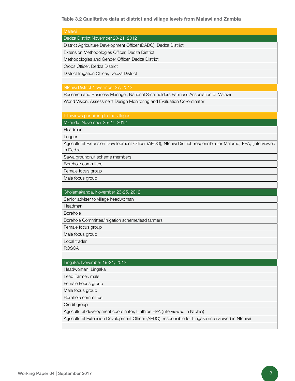Table 3.2 Qualitative data at district and village levels from Malawi and Zambia

| Malawi                                                                                                                      |
|-----------------------------------------------------------------------------------------------------------------------------|
|                                                                                                                             |
| Dedza District November 20-21, 2012                                                                                         |
| District Agriculture Development Officer (DADO), Dedza District                                                             |
| Extension Methodologies Officer, Dedza District                                                                             |
| Methodologies and Gender Officer, Dedza District                                                                            |
| Crops Officer, Dedza District                                                                                               |
| District Irrigation Officer, Dedza District                                                                                 |
|                                                                                                                             |
| Ntchisi District Novermber 27, 2012                                                                                         |
| Research and Business Manager, National Smallholders Farmer's Association of Malawi                                         |
| World Vision, Assessment Design Monitoring and Evaluation Co-ordinator                                                      |
|                                                                                                                             |
| Interviews pertaining to the villages                                                                                       |
| Mzandu, November 25-27, 2012                                                                                                |
| Headman                                                                                                                     |
| Logger                                                                                                                      |
| Agricultural Extension Development Officer (AEDO), Ntchisi District, responsible for Malomo, EPA, (interviewed<br>in Dedza) |
| Sawa groundnut scheme members                                                                                               |
| Borehole committee                                                                                                          |
| Female focus group                                                                                                          |
| Male focus group                                                                                                            |
|                                                                                                                             |
| Cholamakanda, November 23-25, 2012                                                                                          |
| Senior adviser to village headwoman                                                                                         |
| Headman                                                                                                                     |
| <b>Borehole</b>                                                                                                             |
| Borehole Committee/irrigation scheme/lead farmers                                                                           |
| Female focus group                                                                                                          |
| Male focus group                                                                                                            |
| Local trader                                                                                                                |
| <b>ROSCA</b>                                                                                                                |
|                                                                                                                             |
| Lingaka, November 19-21, 2012                                                                                               |
| Headwoman, Lingaka                                                                                                          |
| Lead Farmer, male                                                                                                           |
| Female Focus group                                                                                                          |
| Male focus group                                                                                                            |
| Borehole committee                                                                                                          |
| Credit group                                                                                                                |
| Agricultural development coordinator, Linthipe EPA (interviewed in Ntchisi)                                                 |
| Agricultural Extension Development Officer (AEDO), responsible for Lingaka (interviewed in Ntchisi)                         |
|                                                                                                                             |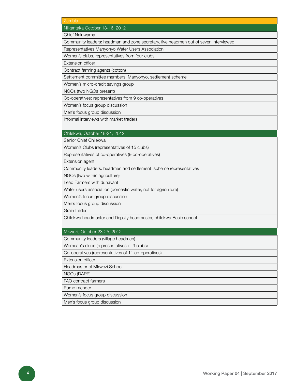| Zambia<br>Niikantaka October 13-16, 2012<br>Chief Naluwama<br>Community leaders: headman and zone secretary, five headmen out of seven interviewed<br>Representatives Manyonyo Water Users Association<br>Women's clubs, representatives from four clubs<br>Extension officer<br>Contract farming agents (cotton)<br>Settlement committee members, Manyonyo, settlement scheme<br>Women's micro-credit savings group<br>NGOs (two NGOs present)<br>Co-operatives: representatives from 9 co-operatives<br>Women's focus group discussion<br>Men's focus group discussion<br>Informal interviews with market traders<br>Chilekwa, October 18-21, 2012<br>Senior Chief Chilekwa<br>Women's Clubs (representatives of 15 clubs)<br>Representatives of co-operatives (9 co-operatives) |
|------------------------------------------------------------------------------------------------------------------------------------------------------------------------------------------------------------------------------------------------------------------------------------------------------------------------------------------------------------------------------------------------------------------------------------------------------------------------------------------------------------------------------------------------------------------------------------------------------------------------------------------------------------------------------------------------------------------------------------------------------------------------------------|
|                                                                                                                                                                                                                                                                                                                                                                                                                                                                                                                                                                                                                                                                                                                                                                                    |
|                                                                                                                                                                                                                                                                                                                                                                                                                                                                                                                                                                                                                                                                                                                                                                                    |
|                                                                                                                                                                                                                                                                                                                                                                                                                                                                                                                                                                                                                                                                                                                                                                                    |
|                                                                                                                                                                                                                                                                                                                                                                                                                                                                                                                                                                                                                                                                                                                                                                                    |
|                                                                                                                                                                                                                                                                                                                                                                                                                                                                                                                                                                                                                                                                                                                                                                                    |
|                                                                                                                                                                                                                                                                                                                                                                                                                                                                                                                                                                                                                                                                                                                                                                                    |
|                                                                                                                                                                                                                                                                                                                                                                                                                                                                                                                                                                                                                                                                                                                                                                                    |
|                                                                                                                                                                                                                                                                                                                                                                                                                                                                                                                                                                                                                                                                                                                                                                                    |
|                                                                                                                                                                                                                                                                                                                                                                                                                                                                                                                                                                                                                                                                                                                                                                                    |
|                                                                                                                                                                                                                                                                                                                                                                                                                                                                                                                                                                                                                                                                                                                                                                                    |
|                                                                                                                                                                                                                                                                                                                                                                                                                                                                                                                                                                                                                                                                                                                                                                                    |
|                                                                                                                                                                                                                                                                                                                                                                                                                                                                                                                                                                                                                                                                                                                                                                                    |
|                                                                                                                                                                                                                                                                                                                                                                                                                                                                                                                                                                                                                                                                                                                                                                                    |
|                                                                                                                                                                                                                                                                                                                                                                                                                                                                                                                                                                                                                                                                                                                                                                                    |
|                                                                                                                                                                                                                                                                                                                                                                                                                                                                                                                                                                                                                                                                                                                                                                                    |
|                                                                                                                                                                                                                                                                                                                                                                                                                                                                                                                                                                                                                                                                                                                                                                                    |
|                                                                                                                                                                                                                                                                                                                                                                                                                                                                                                                                                                                                                                                                                                                                                                                    |
|                                                                                                                                                                                                                                                                                                                                                                                                                                                                                                                                                                                                                                                                                                                                                                                    |
|                                                                                                                                                                                                                                                                                                                                                                                                                                                                                                                                                                                                                                                                                                                                                                                    |
|                                                                                                                                                                                                                                                                                                                                                                                                                                                                                                                                                                                                                                                                                                                                                                                    |
| Extension agent                                                                                                                                                                                                                                                                                                                                                                                                                                                                                                                                                                                                                                                                                                                                                                    |
| Community leaders: headmen and settlement scheme representatives                                                                                                                                                                                                                                                                                                                                                                                                                                                                                                                                                                                                                                                                                                                   |
| NGOs (two within agriculture)                                                                                                                                                                                                                                                                                                                                                                                                                                                                                                                                                                                                                                                                                                                                                      |
| Lead Farmers with dunavant                                                                                                                                                                                                                                                                                                                                                                                                                                                                                                                                                                                                                                                                                                                                                         |
| Water users association (domestic water, not for agriculture)                                                                                                                                                                                                                                                                                                                                                                                                                                                                                                                                                                                                                                                                                                                      |
| Women's focus group discussion                                                                                                                                                                                                                                                                                                                                                                                                                                                                                                                                                                                                                                                                                                                                                     |
| Men's focus group discussion                                                                                                                                                                                                                                                                                                                                                                                                                                                                                                                                                                                                                                                                                                                                                       |
| Grain trader                                                                                                                                                                                                                                                                                                                                                                                                                                                                                                                                                                                                                                                                                                                                                                       |
| Chilekwa headmaster and Deputy headmaster, chilekwa Basic school                                                                                                                                                                                                                                                                                                                                                                                                                                                                                                                                                                                                                                                                                                                   |
|                                                                                                                                                                                                                                                                                                                                                                                                                                                                                                                                                                                                                                                                                                                                                                                    |
| Mkwezi, October 23-25, 2012                                                                                                                                                                                                                                                                                                                                                                                                                                                                                                                                                                                                                                                                                                                                                        |
| Community leaders (village headmen)                                                                                                                                                                                                                                                                                                                                                                                                                                                                                                                                                                                                                                                                                                                                                |
| Womean's clubs (representatives of 9 clubs)                                                                                                                                                                                                                                                                                                                                                                                                                                                                                                                                                                                                                                                                                                                                        |
| Co-operatives (representatives of 11 co-operatives)                                                                                                                                                                                                                                                                                                                                                                                                                                                                                                                                                                                                                                                                                                                                |
| <b>Extension officer</b>                                                                                                                                                                                                                                                                                                                                                                                                                                                                                                                                                                                                                                                                                                                                                           |
| Headmaster of Mkwezi School                                                                                                                                                                                                                                                                                                                                                                                                                                                                                                                                                                                                                                                                                                                                                        |
| NGOs (DAPP)                                                                                                                                                                                                                                                                                                                                                                                                                                                                                                                                                                                                                                                                                                                                                                        |
| <b>FAO</b> contract farmers                                                                                                                                                                                                                                                                                                                                                                                                                                                                                                                                                                                                                                                                                                                                                        |
| Pump mender                                                                                                                                                                                                                                                                                                                                                                                                                                                                                                                                                                                                                                                                                                                                                                        |
| Women's focus group discussion                                                                                                                                                                                                                                                                                                                                                                                                                                                                                                                                                                                                                                                                                                                                                     |
| Men's focus group discussion                                                                                                                                                                                                                                                                                                                                                                                                                                                                                                                                                                                                                                                                                                                                                       |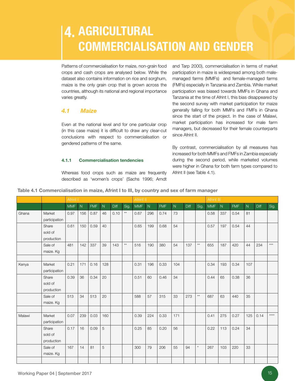### 4. AGRICULTUR commercialisation and gender

Patterns of commercialisation for maize, non-grain food crops and cash crops are analysed below. While the dataset also contains information on rice and sorghum, maize is the only grain crop that is grown across the countries, although its national and regional importance varies greatly.

### *4.1 Maize*

Even at the national level and for one particular crop (in this case maize) it is difficult to draw any clear-cut conclusions with respect to commercialisation or gendered patterns of the same.

#### 4.1.1 Commercialisation tendencies

Whereas food crops such as maize are frequently described as 'women's crops' (Sachs 1996; Arndt

and Tarp 2000), commercialisation in terms of market participation in maize is widespread among both malemanaged farms (MMFs) and female-managed farms (FMFs) especially in Tanzania and Zambia. While market participation was biased towards MMFs in Ghana and Tanzania at the time of Afrint I, this bias disappeared by the second survey with market participation for maize generally falling for both MMFs and FMFs in Ghana since the start of the project. In the case of Malawi, market participation has increased for male farm managers, but decreased for their female counterparts since Afrint II.

By contrast, commercialisation by all measures has increased for both MMFs and FMFs in Zambia especially during the second period, while marketed volumes were higher in Ghana for both farm types compared to Afrint II (see Table 4.1).

|        |                                | Afrint I   |                |            |                |      |                 | Afrint II  |           |            |     |      |                 | Afrint III |     |            |                |             |       |  |  |
|--------|--------------------------------|------------|----------------|------------|----------------|------|-----------------|------------|-----------|------------|-----|------|-----------------|------------|-----|------------|----------------|-------------|-------|--|--|
|        |                                | <b>MMF</b> | $\overline{N}$ | <b>FMF</b> | N              | Diff | Sig.            | <b>MMF</b> | ${\sf N}$ | <b>FMF</b> | N   | Diff | Sig.            | <b>MMF</b> | N   | <b>FMF</b> | $\overline{N}$ | <b>Diff</b> | Sig.  |  |  |
| Ghana  | Market<br>participation        | 0.97       | 156            | 0.87       | 46             | 0.10 | $^{\star\star}$ | 0.67       | 296       | 0.74       | 73  |      |                 | 0.58       | 337 | 0.54       | 81             |             |       |  |  |
|        | Share<br>sold of<br>production | 0.61       | 150            | 0.59       | 40             |      |                 | 0.65       | 199       | 0.68       | 54  |      |                 | 0.57       | 197 | 0.54       | 44             |             |       |  |  |
|        | Sale of<br>maize. Kg           | 481        | 142            | 337        | 39             | 143  | $^{\star\star}$ | 516        | 190       | 380        | 54  | 137  | $^{\star\star}$ | 655        | 187 | 420        | 44             | 234         | $***$ |  |  |
| Kenya  | Market<br>participation        | 0.21       | 171            | 0.16       | 128            |      |                 | 0.31       | 196       | 0.33       | 104 |      |                 | 0.34       | 193 | 0.34       | 107            |             |       |  |  |
|        | Share<br>sold of<br>production | 0.39       | 36             | 0.34       | 20             |      |                 | 0.51       | 60        | 0.46       | 34  |      |                 | 0.44       | 65  | 0.38       | 36             |             |       |  |  |
|        | Sale of<br>maize. Kg           | 513        | 34             | 513        | 20             |      |                 | 588        | 57        | 315        | 33  | 273  | $^{\star\star}$ | 687        | 63  | 440        | 35             |             |       |  |  |
| Malawi | Market<br>participation        | 0.07       | 239            | 0.03       | 160            |      |                 | 0.39       | 224       | 0.33       | 171 |      |                 | 0.41       | 275 | 0.27       | 125            | 0.14        | $***$ |  |  |
|        | Share<br>sold of<br>production | 0.17       | 16             | 0.09       | $\overline{5}$ |      |                 | 0.25       | 85        | 0.20       | 56  |      |                 | 0.22       | 113 | 0.24       | 34             |             |       |  |  |
|        | Sale of<br>maize. Kg           | 167        | 14             | 81         | 5              |      |                 | 300        | 79        | 206        | 55  | 94   | $^\star$        | 267        | 103 | 220        | 33             |             |       |  |  |
|        |                                |            |                |            |                |      |                 |            |           |            |     |      |                 |            |     |            |                |             |       |  |  |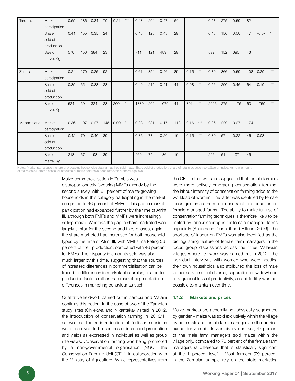| Tanzania   | Market        | 0.55 | 286 | 0.34 | 70  | 0.21 | $***$    | 0.48 | 294 | 0.47 | 64  |      |                 | 0.57 | 275 | 0.59 | 82  |         |       |
|------------|---------------|------|-----|------|-----|------|----------|------|-----|------|-----|------|-----------------|------|-----|------|-----|---------|-------|
|            | participation |      |     |      |     |      |          |      |     |      |     |      |                 |      |     |      |     |         |       |
|            | Share         | 0.41 | 155 | 0.35 | 24  |      |          | 0.46 | 128 | 0.43 | 29  |      |                 | 0.43 | 156 | 0.50 | 47  | $-0.07$ |       |
|            | sold of       |      |     |      |     |      |          |      |     |      |     |      |                 |      |     |      |     |         |       |
|            | production    |      |     |      |     |      |          |      |     |      |     |      |                 |      |     |      |     |         |       |
|            | Sale of       | 570  | 150 | 384  | 23  |      |          | 711  | 121 | 489  | 29  |      |                 | 892  | 152 | 695  | 46  |         |       |
|            | maize. Kg     |      |     |      |     |      |          |      |     |      |     |      |                 |      |     |      |     |         |       |
|            |               |      |     |      |     |      |          |      |     |      |     |      |                 |      |     |      |     |         |       |
| Zambia     | Market        | 0.24 | 270 | 0.25 | 92  |      |          | 0.61 | 354 | 0.46 | 89  | 0.15 | $^{\star\star}$ | 0.79 | 366 | 0.59 | 108 | 0.20    | $***$ |
|            | participation |      |     |      |     |      |          |      |     |      |     |      |                 |      |     |      |     |         |       |
|            | Share         | 0.35 | 65  | 0.33 | 23  |      |          | 0.49 | 215 | 0.41 | 41  | 0.08 | $^{\star\star}$ | 0.56 | 290 | 0.46 | 64  | 0.10    | ***   |
|            | sold of       |      |     |      |     |      |          |      |     |      |     |      |                 |      |     |      |     |         |       |
|            | production    |      |     |      |     |      |          |      |     |      |     |      |                 |      |     |      |     |         |       |
|            | Sale of       | 524  | 59  | 324  | 23  | 200  | $^\star$ | 1880 | 202 | 1079 | 41  | 801  | $^{\star\star}$ | 2926 | 275 | 1175 | 63  | 1750    | $***$ |
|            | maize. Kg     |      |     |      |     |      |          |      |     |      |     |      |                 |      |     |      |     |         |       |
|            |               |      |     |      |     |      |          |      |     |      |     |      |                 |      |     |      |     |         |       |
| Mozambique | Market        | 0.36 | 197 | 0.27 | 145 | 0.09 | $^\star$ | 0.33 | 231 | 0.17 | 113 | 0.16 | $***$           | 0.26 | 229 | 0.27 | 174 |         |       |
|            | participation |      |     |      |     |      |          |      |     |      |     |      |                 |      |     |      |     |         |       |
|            | Share         | 0.42 | 70  | 0.40 | 39  |      |          | 0.36 | 77  | 0.20 | 19  | 0.15 | $***$           | 0.30 | 57  | 0.22 | 46  | 0.08    |       |
|            | sold of       |      |     |      |     |      |          |      |     |      |     |      |                 |      |     |      |     |         |       |
|            | production    |      |     |      |     |      |          |      |     |      |     |      |                 |      |     |      |     |         |       |
|            | Sale of       | 218  | 67  | 198  | 39  |      |          | 269  | 75  | 136  | 19  |      | $\star$         | 226  | 51  | 197  | 45  |         |       |
|            | maize. Kg     |      |     |      |     |      |          |      |     |      |     |      |                 |      |     |      |     |         |       |

Notes: Market participation: share of producing households stating that they sold maize.Share sold of production: share of total production sold.Sale of maize, kg: total amount

of maize sold.Extreme cases for amounts of maize sold have been removed at the village level

Maize commercialisation in Zambia was disproportionately favouring MMFs already by the second survey, with 61 percent of maize-growing households in this category participating in the market compared to 46 percent of FMFs. This gap in market participation had expanded further by the time of Afrint III, although both FMFs and MMFs were increasingly selling maize. Whereas the gap in share marketed was largely similar for the second and third phases, again the share marketed had increased for both household types by the time of Afrint III, with MMFs marketing 56 percent of their production, compared with 46 percent for FMFs. The disparity in amounts sold was also much larger by this time, suggesting that the sources of increased differences in commercialisation can be traced to differences in marketable surplus, related to production factors rather than market segmentation or differences in marketing behaviour as such.

Qualitative fieldwork carried out in Zambia and Malawi confirms this notion. In the case of two of the Zambian study sites (Chilekwa and Nikantaka) visited in 2012, the introduction of conservation farming in 2010/11 as well as the re-introduction of fertiliser subsidies were perceived to be sources of increased production and yields as expressed in individual as well as group interviews. Conservation farming was being promoted by a non-governmental organisation (NGO), the Conservation Farming Unit (CFU), in collaboration with the Ministry of Agriculture. While representatives from

the CFU in the two sites suggested that female farmers were more actively embracing conservation farming, the labour intensity of conservation farming adds to the workload of women. The latter was identified by female focus groups as the major constraint to production on female-managed farms. The ability to make full use of conservation farming techniques is therefore likely to be limited by labour shortages for female-managed farms especially (Andersson Djurfeldt and Hillbom 2016). The shortage of labour on FMFs was also identified as the distinguishing feature of female farm managers in the focus group discussions across the three Malawian villages where fieldwork was carried out in 2012. The individual interviews with women who were heading their own households also attributed the loss of male labour as a result of divorce, separation or widowhood to a gradual loss of productivity, as soil fertility was not possible to maintain over time.

#### 4.1.2 Markets and prices

Maize markets are generally not physically segmented by gender – maize was sold exclusively within the village by both male and female farm managers in all countries, except for Zambia. In Zambia by contrast, 47 percent of the male farm managers sold maize within the village only, compared to 70 percent of the female farm managers (a difference that is statistically significant at the 1 percent level). Most farmers (79 percent) in the Zambian sample rely on the state marketing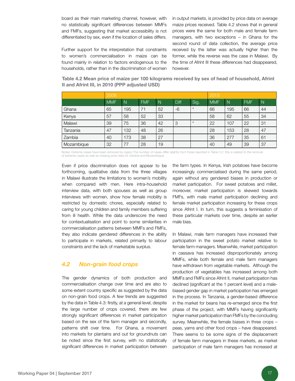board as their main marketing channel, however, with no statistically significant differences between MMFs and FMFs, suggesting that market accessibility is not differentiated by sex, even if the location of sales differs.

Further support for the interpretation that constraints to women's commercialisation in maize can be found mainly in relation to factors endogenous to the households, rather than in the discrimination of women in output markets, is provided by price data on average maize prices received. Table 4.2 shows that in general prices were the same for both male and female farm managers, with two exceptions – in Ghana for the second round of data collection, the average price received by the latter was actually higher than the former, while the reverse was the case in Malawi. By the time of Afrint III these differences had disappeared, however.

Table 4.2 Mean price of maize per 100 kilograms received by sex of head of household, Afrint II and Afrint III, in 2010 (PPP adjusted USD)

|            | 2008       |              |            |              |      |         | 2013       |              |            |    |  |  |  |
|------------|------------|--------------|------------|--------------|------|---------|------------|--------------|------------|----|--|--|--|
|            | <b>MMF</b> | $\mathsf{N}$ | <b>FMF</b> | $\mathsf{N}$ | Diff | Sig.    | <b>MMF</b> | $\mathsf{N}$ | <b>FMF</b> | N  |  |  |  |
| Ghana      | 65         | 195          | 71         | 52           | $-6$ | $\star$ | 66         | 195          | 66         | 44 |  |  |  |
| Kenya      | 57         | 58           | 52         | 33           |      |         | 58         | 62           | 55         | 34 |  |  |  |
| Malawi     | 39         | 75           | 36         | 42           | 3    | $\star$ | 22         | 107          | 22         | 31 |  |  |  |
| Tanzania   | 47         | 132          | 48         | 26           |      |         | 28         | 153          | 28         | 47 |  |  |  |
| Zambia     | 40         | 173          | 38         | 27           |      |         | 36         | 277          | 35         | 61 |  |  |  |
| Mozambique | 32         | 77           | 28         | 19           |      |         | 40         | 49           | 39         | 37 |  |  |  |

Notes: Extreme cases have been removed by region.The number of cases differ slightly from those reported in Table 3.2: this is related to the removal of extreme cases as well as missing price data for Zambia and Mozambique.

Even if price discrimination does not appear to be forthcoming, qualitative data from the three villages in Malawi illustrate the limitations to women's mobility when compared with men. Here intra-household interview data, with both spouses as well as group interviews with women, show how female mobility is restricted by domestic chores, especially related to caring for young children and family members suffering from ill health. While the data underscore the need for contextualisation and point to some similarities in commercialisation patterns between MMFs and FMFs, they also indicate gendered differences in the ability to participate in markets, related primarily to labour constraints and the lack of marketable surplus.

#### *4.2 Non-grain food crops*

The gender dynamics of both production and commercialisation change over time and are also to some extent country specific as suggested by the data on non-grain food crops. A few trends are suggested by the data in Table 4.3: firstly, at a general level, despite the large number of crops covered, there are few strongly significant differences in market participation based on the sex of the farm manager and secondly, patterns shift over time. For Ghana, a movement into markets for plantains and out for groundnuts can be noted since the first survey, with no statistically significant differences in market participation between

the farm types. In Kenya, Irish potatoes have become increasingly commercialised during the same period, again without any gendered biases in production or market participation. For sweet potatoes and millet, moreover, market participation is skewed towards FMFs, with male market participation declining and female market participation increasing for these crops since Afrint I. In turn, this suggests a feminisation of these particular markets over time, despite an earlier male bias.

In Malawi, male farm managers have increased their participation in the sweet potato market relative to female farm managers. Meanwhile, market participation in cassava has increased disproportionately among MMFs, while both female and male farm managers have withdrawn from vegetable markets. Although the production of vegetables has increased among both MMFs and FMFs since Afrint II, market participation has declined (significant at the 1 percent level) and a malebiased gender gap in market participation has emerged in the process. In Tanzania, a gender-based difference in the market for beans has re-emerged since the first phase of the project, with MMFs having significantly higher market participation than FMFs by the concluding survey. Meanwhile, the female biases in three crops – peas, yams and other food crops – have disappeared. There seems to be some signs of the displacement of female farm managers in these markets, as market participation of male farm managers has increased at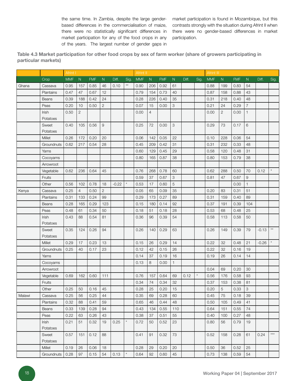the same time. In Zambia, despite the large genderbased differences in the commercialisation of maize, there were no statistically significant differences in market participation for any of the food crops in any of the years. The largest number of gender gaps in

market participation is found in Mozambique, but this contrasts strongly with the situation during Afrint II when there were no gender-based differences in market participation.

Table 4.3 Market participation for other food crops by sex of farm worker (share of growers participating in particular markets)

|        |              | Afrint I   |                |            |                |         |              | Afrint II  |                |            |           |       |      | Afrint III |                |            |                |         |                       |  |
|--------|--------------|------------|----------------|------------|----------------|---------|--------------|------------|----------------|------------|-----------|-------|------|------------|----------------|------------|----------------|---------|-----------------------|--|
|        | Crop         | <b>MMF</b> | N              | <b>FMF</b> | ${\sf N}$      | Diff.   | Sig.         | <b>MMF</b> | ${\sf N}$      | <b>FMF</b> | ${\sf N}$ | Diff. | Sig. | <b>MMF</b> | ${\sf N}$      | <b>FMF</b> | ${\sf N}$      | Diff.   | Sig.                  |  |
| Ghana  | Cassava      | 0.95       | 157            | 0.85       | 46             | 0.10    | $\star\star$ | 0.90       | 206            | 0.92       | 61        |       |      | 0.88       | 199            | 0.83       | 54             |         |                       |  |
|        | Plantains    | 0.47       | 47             | 0.67       | 12             |         |              | 0.79       | 154            | 0.73       | 40        |       |      | 0.87       | 158            | 0.88       | 43             |         |                       |  |
|        | Beans        | 0.39       | 188            | 0.42       | 24             |         |              | 0.28       | 226            | 0.40       | 35        |       |      | 0.31       | 218            | 0.40       | 48             |         |                       |  |
|        | Peas         | 0.20       | 10             | 0.50       | $\overline{2}$ |         |              | 0.07       | 15             | 0.00       | 3         |       |      | 0.21       | 24             | 0.29       | $\overline{7}$ |         |                       |  |
|        | Irish        | 0.50       | $\overline{2}$ |            |                |         |              | 0.00       | $\overline{4}$ |            |           |       |      | 0.00       | $\overline{2}$ | 0.00       | 1              |         |                       |  |
|        | Potatoes     |            |                |            |                |         |              |            |                |            |           |       |      |            |                |            |                |         |                       |  |
|        | Sweet        | 0.40       | 105            | 0.56       | 9              |         |              | 0.25       | 72             | 0.00       | 3         |       |      | 0.29       | 73             | 0.17       | 6              |         |                       |  |
|        | Potatoes     |            |                |            |                |         |              |            |                |            |           |       |      |            |                |            |                |         |                       |  |
|        | Millet       | 0.26       | 172            | 0.20       | 20             |         |              | 0.06       | 142            | 0.05       | 22        |       |      | 0.10       | 228            | 0.06       | 54             |         |                       |  |
|        | Groundnuts   | 0.62       | 217            | 0.54       | 28             |         |              | 0.45       | 209            | 0.42       | 31        |       |      | 0.31       | 232            | 0.33       | 48             |         |                       |  |
|        | Yams         |            |                |            |                |         |              | 0.60       | 129            | 0.45       | 29        |       |      | 0.58       | 120            | 0.48       | 31             |         |                       |  |
|        | Cocoyams     |            |                |            |                |         |              | 0.80       | 165            | 0.87       | 38        |       |      | 0.80       | 153            | 0.79       | 38             |         |                       |  |
|        | Arrowroot    |            |                |            |                |         |              |            |                |            |           |       |      |            |                |            |                |         |                       |  |
|        | Vegetable    | 0.62       | 236            | 0.64       | 45             |         |              | 0.76       | 268            | 0.78       | 60        |       |      | 0.62       | 288            | 0.50       | 70             | 0.12    | $\star$               |  |
|        | Fruits       |            |                |            |                |         |              | 0.59       | 37             | 0.67       | 3         |       |      | 0.81       | 47             | 0.67       | 9              |         |                       |  |
|        | Other        | 0.56       | 102            | 0.78       | 18             | $-0.22$ | $\star$      | 0.53       | 17             | 0.60       | 5         |       |      |            |                | 0.00       | $\mathbf{1}$   |         |                       |  |
| Kenya  | Cassava      | 0.25       | 4              | 0.50       | $\overline{c}$ |         |              | 0.05       | 65             | 0.09       | 35        |       |      | 0.20       | 83             | 0.31       | 51             |         |                       |  |
|        | Plantains    | 0.31       | 133            | 0.24       | 99             |         |              | 0.29       | 173            | 0.27       | 89        |       |      | 0.31       | 159            | 0.40       | 89             |         |                       |  |
|        | <b>Beans</b> | 0.28       | 165            | 0.29       | 123            |         |              | 0.15       | 180            | 0.14       | 92        |       |      | 0.37       | 191            | 0.39       | 104            |         |                       |  |
|        | Peas         | 0.48       | 61             | 0.34       | 50             |         |              | 0.18       | 51             | 0.18       | 28        |       |      | 0.53       | 68             | 0.48       | 25             |         |                       |  |
|        | <b>Irish</b> | 0.43       | 88             | 0.54       | 81             |         |              | 0.36       | 96             | 0.39       | 54        |       |      | 0.58       | 113            | 0.58       | 50             |         |                       |  |
|        | Potatoes     |            |                |            |                |         |              |            |                |            |           |       |      |            |                |            |                |         |                       |  |
|        | Sweet        | 0.35       | 124            | 0.26       | 94             |         |              | 0.26       | 140            | 0.29       | 63        |       |      | 0.26       | 149            | 0.39       | 79             | $-0.13$ | $^{\star\star}$       |  |
|        | Potatoes     |            |                |            |                |         |              |            |                |            |           |       |      |            |                |            |                |         |                       |  |
|        | Millet       | 0.29       | 17             | 0.23       | 13             |         |              | 0.15       | 26             | 0.29       | 14        |       |      | 0.22       | 32             | 0.48       | 21             | $-0.26$ |                       |  |
|        | Groundnuts   | 0.25       | 40             | 0.17       | 23             |         |              | 0.12       | 42             | 0.15       | 26        |       |      | 0.22       | 32             | 0.16       | 19             |         |                       |  |
|        | Yams         |            |                |            |                |         |              | 0.14       | 37             | 0.19       | 16        |       |      | 0.19       | 26             | 0.14       | 14             |         |                       |  |
|        | Cocoyams     |            |                |            |                |         |              | 0.13       | 8              | 0.00       | 1         |       |      |            |                |            |                |         |                       |  |
|        | Arrowroot    |            |                |            |                |         |              |            |                |            |           |       |      | 0.04       | 69             | 0.20       | 30             |         |                       |  |
|        | Vegetable    | 0.69       | 162            | 0.60       | 111            |         |              | 0.76       | 157            | 0.64       | 69        | 0.12  |      | 0.56       | 176            | 0.58       | 93             |         |                       |  |
|        | Fruits       |            |                |            |                |         |              | 0.34       | 74             | 0.34       | 32        |       |      | 0.37       | 153            | 0.38       | 81             |         |                       |  |
|        | Other        | 0.25       | 50             | 0.16       | 45             |         |              | 0.28       | 25             | 0.20       | 15        |       |      | 0.20       | 5              | 0.33       | 3              |         |                       |  |
| Malawi | Cassava      | 0.25       | 56             | 0.25       | 44             |         |              | 0.35       | 69             | 0.28       | 60        |       |      | 0.45       | 75             | 0.18       | 39             |         |                       |  |
|        | Plantains    | 0.32       | 88             | 0.41       | 59             |         |              | 0.65       | 46             | 0.44       | 48        |       |      | 0.50       | 105            | 0.49       | 41             |         |                       |  |
|        | Beans        | 0.33       | 139            | 0.28       | 94             |         |              | 0.43       | 134            | 0.55       | 110       |       |      | 0.64       | 151            | 0.55       | 74             |         |                       |  |
|        | Peas         | 0.22       | 63             | 0.26       | 43             |         |              | 0.38       | 37             | 0.51       | 55        |       |      | 0.40       | 100            | 0.27       | 48             |         |                       |  |
|        | Irish        | 0.21       | 51             | 0.32       | 19             | 0.25    | $\star$      | 0.72       | 50             | 0.52       | 23        |       |      | 0.80       | 56             | 0.79       | 19             |         |                       |  |
|        | Potatoes     |            |                |            |                |         |              |            |                |            |           |       |      |            |                |            |                |         |                       |  |
|        | Sweet        | 0.57       | 151            | 0.12       | 88             |         |              | 0.41       | 91             | 0.32       | 73        |       |      | 0.52       | 158            | 0.28       | 61             | 0.24    | $\star\!\star\!\star$ |  |
|        | Potatoes     |            |                |            |                |         |              |            |                |            |           |       |      |            |                |            |                |         |                       |  |
|        | Millet       | 0.19       | 26             | 0.06       | 18             |         |              | 0.28       | 29             | 0.20       | 20        |       |      | 0.50       | 36             | 0.52       | 25             |         |                       |  |
|        | Groundnuts   | 0.28       | 97             | 0.15       | 54             | 0.13    | $\star$      | 0.64       | 92             | 0.60       | 45        |       |      | 0.73       | 138            | 0.59       | 54             |         |                       |  |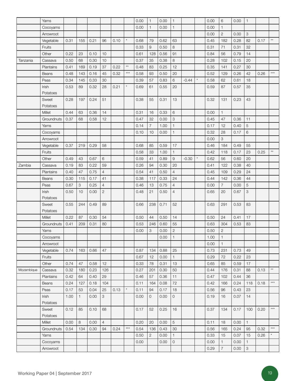|            | Yams              |              |              |      |                |      |              | 0.00 | $\mathbf{1}$   | 0.00 | $\mathbf{1}$        |         |         | 0.00         | 6              | 0.00 | $\mathbf{1}$              |      |              |
|------------|-------------------|--------------|--------------|------|----------------|------|--------------|------|----------------|------|---------------------|---------|---------|--------------|----------------|------|---------------------------|------|--------------|
|            | Cocoyams          |              |              |      |                |      |              | 0.00 | $\mathbf{1}$   | 0.00 | $\mathbf{1}$        |         |         | 0.00         | $\mathbf{1}$   |      |                           |      |              |
|            | Arrowroot         |              |              |      |                |      |              |      |                |      |                     |         |         | 0.00         | $\sqrt{2}$     | 0.00 | 3                         |      |              |
|            | Vegetable         | 0.31         | 155          | 0.21 | 96             | 0.10 | $\star$      | 0.68 | 79             | 0.62 | 63                  |         |         | 0.45         | 182            | 0.28 | 82                        | 0.17 | $\star\star$ |
|            | Fruits            |              |              |      |                |      |              | 0.33 | 9              | 0.50 | 8                   |         |         | 0.31         | 71             | 0.31 | 32                        |      |              |
|            | Other             | 0.22         | 23           | 0.10 | 10             |      |              | 0.61 | 128            | 0.56 | 91                  |         |         | 0.84         | 56             | 0.79 | 14                        |      |              |
| Tanzania   | Cassava           | 0.50         | 68           | 0.30 | 10             |      |              | 0.37 | 35             | 0.38 | 8                   |         |         | 0.28         | 102            | 0.15 | 20                        |      |              |
|            | Plantains         | 0.41         | 169          | 0.19 | 37             | 0.22 | $\star\star$ | 0.48 | 83             | 0.25 | 12                  |         |         | 0.35         | 141            | 0.27 | 30                        |      |              |
|            | <b>Beans</b>      | 0.48         | 143          | 0.16 | 45             | 0.32 | $***$        | 0.58 | 93             | 0.50 | 20                  |         |         | 0.52         | 129            | 0.26 | 42                        | 0.26 | $***$        |
|            | Peas              | 0.34         | 145          | 0.33 | 30             |      |              | 0.39 | 57             | 0.83 | 6                   | $-0.44$ | $\star$ | 0.58         | 62             | 0.61 | 18                        |      |              |
|            | Irish             | 0.53         | 89           | 0.32 | 28             | 0.21 | $\star$      | 0.69 | 61             | 0.55 | 20                  |         |         | 0.59         | 87             | 0.57 | 35                        |      |              |
|            | Potatoes          |              |              |      |                |      |              |      |                |      |                     |         |         |              |                |      |                           |      |              |
|            | Sweet             | 0.28         | 197          | 0.24 | 51             |      |              | 0.38 | 55             | 0.31 | 13                  |         |         | 0.32         | 131            | 0.23 | 43                        |      |              |
|            | Potatoes          |              |              |      |                |      |              |      |                |      |                     |         |         |              |                |      |                           |      |              |
|            | <b>Millet</b>     | 0.44         | 63           | 0.36 | 14             |      |              | 0.31 | 16             | 0.33 | 6                   |         |         | 0.00         | $\mathbf{1}$   |      |                           |      |              |
|            | Groundnuts        | 0.37         | 68           | 0.58 | 12             |      |              | 0.47 | 32             | 0.00 | 3                   |         |         | 0.45         | 47             | 0.36 | 11                        |      |              |
|            | Yams              |              |              |      |                |      |              | 0.14 | $\overline{7}$ | 1.00 | $\mathbf{1}$        |         |         | 0.17         | 12             | 0.40 | 5                         |      |              |
|            | Cocoyams          |              |              |      |                |      |              | 0.10 | 10             | 0.00 | $\mathbf{1}$        |         |         | 0.32         | 28             | 0.17 | 6                         |      |              |
|            | Arrowroot         |              |              |      |                |      |              |      |                |      |                     |         |         | 0.00         | 3              |      |                           |      |              |
|            | Vegetable         | 0.37         | 219          | 0.29 | 58             |      |              | 0.68 | 85             | 0.59 | 17                  |         |         | 0.46         | 184            | 0.49 | 55                        |      |              |
|            | Fruits            |              |              |      |                |      |              | 0.58 | 33             | 1.00 | $\mathbf{1}$        |         |         | 0.42         | 118            | 0.17 | 23                        | 0.25 | $\star\star$ |
|            | Other             | 0.49         | 43           | 0.67 | 6              |      |              | 0.59 | 41             | 0.89 | 9                   | $-0.30$ | $\star$ | 0.62         | 56             | 0.60 | 20                        |      |              |
| Zambia     | Cassava           | 0.19         | 83           | 0.22 | 59             |      |              | 0.26 | 94             | 0.30 | 20                  |         |         | 0.41         | 122            | 0.38 | 40                        |      |              |
|            | Plantains         | 0.40         | 47           | 0.75 | $\overline{4}$ |      |              | 0.54 | 41             | 0.50 | $\overline{4}$      |         |         | 0.45         | 109            | 0.29 | 24                        |      |              |
|            |                   | 0.30         | 115          | 0.17 | 41             |      |              | 0.38 | 117            | 0.33 | 24                  |         |         | 0.44         | 142            | 0.36 | 44                        |      |              |
|            | <b>Beans</b>      |              |              |      | $\overline{4}$ |      |              |      |                |      | $\overline{4}$      |         |         |              | 7              | 0.00 |                           |      |              |
|            | Peas              | 0.67<br>0.50 | 3<br>10      | 0.25 |                |      |              | 0.46 | 13             | 0.75 | $\overline{4}$      |         |         | 0.00<br>0.65 |                |      | $\mathbf 5$               |      |              |
|            | Irish<br>Potatoes |              |              | 0.00 | $\mathbf{2}$   |      |              | 0.48 | 21             | 0.50 |                     |         |         |              | 20             | 0.67 | $\ensuremath{\mathsf{3}}$ |      |              |
|            | Sweet<br>Potatoes | 0.55         | 244          | 0.49 | 89             |      |              | 0.66 | 238            | 0.71 | 52                  |         |         | 0.63         | 291            | 0.53 | 83                        |      |              |
|            | Millet            | 0.22         | 87           | 0.30 | 54             |      |              | 0.50 | 44             | 0.50 | 14                  |         |         | 0.50         | 24             | 0.41 | 17                        |      |              |
|            | Groundnuts        | 0.41         | 209          | 0.31 | 80             |      |              | 0.53 | 246            | 0.60 | 55                  |         |         | 0.63         | 304            | 0.53 | 83                        |      |              |
|            | Yams              |              |              |      |                |      |              | 0.00 | 3              | 0.00 | $\sqrt{2}$          |         |         | 0.50         | $\sqrt{2}$     |      |                           |      |              |
|            | Cocoyams          |              |              |      |                |      |              |      |                | 0.00 | $\mathbf{1}$        |         |         | 1.00         | $\mathbf{1}$   |      |                           |      |              |
|            | Arrowroot         |              |              |      |                |      |              |      |                |      |                     |         |         | 0.00         | $\mathbf{1}$   |      |                           |      |              |
|            | Vegetable         | 0.74         | 163          | 0.66 | 47             |      |              | 0.87 | 134            | 0.88 | 25                  |         |         | 0.73         | 231            | 0.73 | 49                        |      |              |
|            | Fruits            |              |              |      |                |      |              | 0.67 | 12             | 0.00 | $\mathbf{1}$        |         |         | 0.29         | 72             | 0.22 | 23                        |      |              |
|            | Other             | 0.74         | 47           | 0.58 | 12             |      |              | 0.33 | 78             | 0.31 | 13                  |         |         | 0.65         | 85             | 0.59 | 17                        |      |              |
| Mozambique | Cassava           | 0.32         | 180          | 0.23 | 126            |      |              | 0.27 | 201            | 0.30 | 50                  |         |         | 0.44         | 176            | 0.31 | 88                        | 0.13 | $\star\star$ |
|            | Plantains         | 0.42         | 64           | 0.40 | 29             |      |              | 0.46 | 57             | 0.36 | 11                  |         |         | 0.47         | 102            | 0.44 | 36                        |      |              |
|            | Beans             | 0.24         | 127          | 0.18 | 104            |      |              | 0.11 | 164            | 0.08 | 72                  |         |         | 0.42         | 166            | 0.24 | 118                       | 0.18 | $***$        |
|            | Peas              | 0.17         | 53           | 0.04 | 25             | 0.13 | $^\star$     | 0.11 | 94             | 0.17 | 18                  |         |         | 0.56         | 96             | 0.43 | 23                        |      |              |
|            | Irish             | 1.00         | $\mathbf{1}$ | 0.00 | 3              |      |              | 0.00 | $\mathsf{O}$   | 0.00 | 0                   |         |         | 0.19         | 16             | 0.07 | 14                        |      |              |
|            | Potatoes          |              |              |      |                |      |              |      |                |      |                     |         |         |              |                |      |                           |      |              |
|            | Sweet             | 0.12         | 85           | 0.10 | 68             |      |              | 0.17 | 52             | 0.25 | 16                  |         |         | 0.37         | 134            | 0.17 | 100                       | 0.20 | $***$        |
|            | Potatoes          |              |              |      |                |      |              |      |                |      |                     |         |         |              |                |      |                           |      |              |
|            | Millet            | 0.00         | 8            | 0.00 | $\overline{4}$ |      |              | 0.20 | 20             | 0.00 | 5                   |         |         | 0.11         | 18             | 0.00 | $\mathbf{1}$              |      | $***$        |
|            | Groundnuts        | 0.54         | 134          | 0.30 | 94             | 0.24 | $***$        | 0.54 | 136            | 0.43 | 30                  |         |         | 0.56         | 165            | 0.24 | 95                        | 0.32 |              |
|            | Yams              |              |              |      |                |      |              | 0.50 | $\overline{c}$ | 0.00 | $\mathbf{1}$        |         |         | 0.33         | 15             | 0.07 | 15                        | 0.26 |              |
|            | Cocoyams          |              |              |      |                |      |              | 0.00 |                | 0.00 | $\mathsf{O}\xspace$ |         |         | 0.00         | $\mathbf{1}$   | 0.00 | 1                         |      |              |
|            | Arrowroot         |              |              |      |                |      |              |      |                |      |                     |         |         | 0.29         | $\overline{7}$ | 0.00 | $\ensuremath{\mathsf{3}}$ |      |              |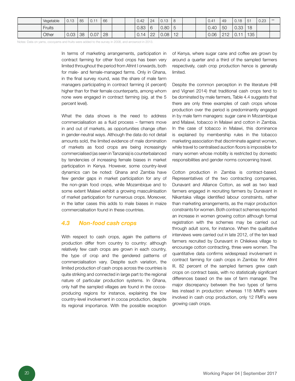| Vegetable | 0.13 | 85 | 0.11 | 66 |  | 0.42 | 24 | 0.13 | -8 |  | 0.41 | 49  | 0.18        | 51  | 0.23 | $***$ |
|-----------|------|----|------|----|--|------|----|------|----|--|------|-----|-------------|-----|------|-------|
| Fruits    |      |    |      |    |  | 0.83 | 6  | 0.80 | Ι5 |  | 0.40 | 50  | $0.33$   18 |     |      |       |
| Other     | 0.03 | 38 | 0.07 | 28 |  | 0.14 | 22 | 0.08 | 12 |  | 0.06 | 212 | 0.11        | 135 |      |       |

Notes: Data on yams, cocoyams and fruits were added to the survey in 2008, and arrowroot in 2013.

In terms of marketing arrangements, participation in contract farming for other food crops has been very limited throughout the period from Afrint I onwards, both for male- and female-managed farms. Only in Ghana, in the final survey round, was the share of male farm managers participating in contract farming (4 percent) higher than for their female counterparts, among whom none were engaged in contract farming (sig. at the 5 percent level).

What the data shows is the need to address commercialisation as a fluid process – farmers move in and out of markets, as opportunities change often in gender-neutral ways. Although the data do not detail amounts sold, the limited evidence of male domination of markets as food crops are being increasingly commercialised (as seen in Tanzania) is counterbalanced by tendencies of increasing female biases in market participation in Kenya. However, some country-level dynamics can be noted: Ghana and Zambia have few gender gaps in market participation for any of the non-grain food crops, while Mozambique and to some extent Malawi exhibit a growing masculinisation of market participation for numerous crops. Moreover, in the latter cases this adds to male biases in maize commercialisation found in these countries.

### *4.3 Non-food cash crops*

With respect to cash crops, again the patterns of production differ from country to country: although relatively few cash crops are grown in each country, the type of crop and the gendered patterns of commercialisation vary. Despite such variation, the limited production of cash crops across the countries is quite striking and connected in large part to the regional nature of particular production systems. In Ghana, only half the sampled villages are found in the cocoaproducing regions for instance, explaining the low country-level involvement in cocoa production, despite its regional importance. With the possible exception of Kenya, where sugar cane and coffee are grown by around a quarter and a third of the sampled farmers respectively, cash crop production hence is generally limited.

Despite the common perception in the literature (Hill and Vigneri 2014) that traditional cash crops tend to be dominated by male farmers, Table 4.4 suggests that there are only three examples of cash crops whose production over the period is predominantly engaged in by male farm managers: sugar cane in Mozambique and Malawi, tobacco in Malawi and cotton in Zambia. In the case of tobacco in Malawi, this dominance is explained by membership rules in the tobacco marketing association that discriminate against women, while travel to centralised auction floors is impossible for many women whose mobility is restricted by domestic responsibilities and gender norms concerning travel.

Cotton production in Zambia is contract-based. Representatives of the two contracting companies, Dunavant and Alliance Cotton, as well as two lead farmers engaged in recruiting farmers by Dunavant in Nikantaka village identified labour constraints, rather than marketing arrangements, as the major production constraints for women. Both contract schemes reported an increase in women growing cotton although formal registration with the schemes may be carried out through adult sons, for instance. When the qualitative interviews were carried out in late 2012, of the ten lead farmers recruited by Dunavant in Chilekwa village to encourage cotton contracting, three were women. The quantitative data confirms widespread involvement in contract farming for cash crops in Zambia: for Afrint III, 82 percent of the sampled farmers grew cash crops on contract basis, with no statistically significant differences based on the sex of farm manager. The major discrepancy between the two types of farms lies instead in production: whereas 118 MMFs were involved in cash crop production, only 12 FMFs were growing cash crops.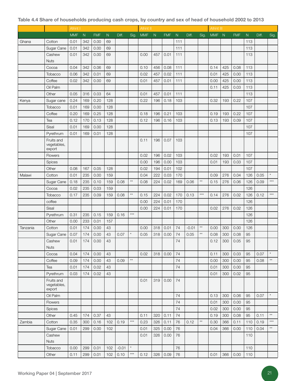#### Table 4.4 Share of households producing cash crops, by country and sex of head of household 2002 to 2013

|          |                                     | Afrint I   |           |            |              |         |              | Afrint II  |     |            |              |         |                 | Afrint III |     |            |              |       |                 |
|----------|-------------------------------------|------------|-----------|------------|--------------|---------|--------------|------------|-----|------------|--------------|---------|-----------------|------------|-----|------------|--------------|-------|-----------------|
|          |                                     | <b>MMF</b> | ${\sf N}$ | <b>FMF</b> | $\mathsf{N}$ | Diff.   | Sig.         | <b>MMF</b> | N   | <b>FMF</b> | $\mathsf{N}$ | Diff.   | Sig.            | <b>MMF</b> | N   | <b>FMF</b> | $\mathsf{N}$ | Diff. | Sig.            |
| Ghana    | Cotton                              | 0.01       | 342       | 0.00       | 69           |         |              |            |     |            | 111          |         |                 |            |     |            | 113          |       |                 |
|          | Sugar Cane                          | 0.01       | 342       | 0.00       | 69           |         |              |            |     |            | 111          |         |                 |            |     |            | 113          |       |                 |
|          | Cashew                              | 0.01       | 342       | 0.00       | 69           |         |              | 0.00       | 457 | 0.01       | 111          |         |                 |            |     |            | 113          |       |                 |
|          | <b>Nuts</b>                         |            |           |            |              |         |              |            |     |            |              |         |                 |            |     |            |              |       |                 |
|          | Cocoa                               | 0.04       | 342       | 0.06       | 69           |         |              | 0.10       | 456 | 0.08       | 111          |         |                 | 0.14       | 425 | 0.08       | 113          |       |                 |
|          | Tobacco                             | 0.06       | 342       | 0.01       | 69           |         |              | 0.02       | 457 | 0.02       | 111          |         |                 | 0.01       | 425 | 0.00       | 113          |       |                 |
|          | Coffee                              | 0.02       | 342       | 0.00       | 69           |         |              | 0.01       | 457 | 0.01       | 111          |         |                 | 0.00       | 425 | 0.00       | 113          |       |                 |
|          | Oil Palm                            |            |           |            |              |         |              |            |     |            |              |         |                 | 0.11       | 425 | 0.03       | 113          |       |                 |
|          | Other                               | 0.05       | 316       | 0.03       | 64           |         |              | 0.01       | 457 | 0.01       | 111          |         |                 |            |     |            | 113          |       |                 |
| Kenya    | Sugar cane                          | 0.24       | 169       | 0.20       | 128          |         |              | 0.22       | 196 | 0.18       | 103          |         |                 | 0.32       | 193 | 0.22       | 107          |       |                 |
|          | Tobacco                             | 0.01       | 169       | 0.00       | 128          |         |              |            |     |            |              |         |                 |            |     |            | 107          |       |                 |
|          | Coffee                              | 0.20       | 169       | 0.25       | 128          |         |              | 0.18       | 196 | 0.21       | 103          |         |                 | 0.19       | 193 | 0.22       | 107          |       |                 |
|          | Tea                                 | 0.12       | 170       | 0.13       | 128          |         |              | 0.12       | 196 | 0.16       | 103          |         |                 | 0.13       | 193 | 0.09       | 107          |       |                 |
|          | Sisal                               | 0.01       | 169       | 0.00       | 128          |         |              |            |     |            |              |         |                 |            |     |            | 107          |       |                 |
|          | Pyrethrum                           | 0.01       | 169       | 0.01       | 128          |         |              |            |     |            |              |         |                 |            |     |            | 107          |       |                 |
|          | Fruits and<br>vegetables,<br>export |            |           |            |              |         |              | 0.11       | 196 | 0.07       | 103          |         |                 |            |     |            |              |       |                 |
|          | <b>Flowers</b>                      |            |           |            |              |         |              | 0.02       | 196 | 0.02       | 103          |         |                 | 0.02       | 193 | 0.01       | 107          |       |                 |
|          | Spices                              |            |           |            |              |         |              | 0.00       | 196 | 0.00       | 103          |         |                 | 0.01       | 193 | 0.03       | 107          |       |                 |
|          | Other                               | 0.08       | 167       | 0.05       | 128          |         |              | 0.02       | 194 | 0.01       | 102          |         |                 |            |     |            | 107          |       |                 |
| Malawi   | Cotton                              | 0.01       | 235       | 0.00       | 159          |         |              | 0.04       | 222 | 0.03       | 170          |         |                 | 0.09       | 276 | 0.04       | 126          | 0.05  | $\star$         |
|          | Sugar Cane                          | 0.18       | 235       | 0.10       | 159          | 0.08    | $\star\star$ | 0.08       | 224 | 0.02       | 169          | 0.06    | $\star\star$    | 0.15       | 276 | 0.06       | 126          | 0.09  | $***$           |
|          | Cocoa                               | 0.02       | 235       | 0.03       | 159          |         |              |            |     |            |              |         |                 |            |     |            | 126          |       |                 |
|          | Tobacco                             | 0.17       | 235       | 0.09       | 159          | 0.08    | $\star\star$ | 0.15       | 224 | 0.02       | 170          | 0.13    | $***$           | 0.14       | 276 | 0.02       | 126          | 0.12  | $***$           |
|          | coffee                              |            |           |            |              |         |              | 0.00       | 224 | 0.01       | 170          |         |                 |            |     |            | 126          |       |                 |
|          | Sisal                               |            |           |            |              |         |              | 0.00       | 224 | 0.01       | 170          |         |                 | 0.02       | 276 | 0.02       | 126          |       |                 |
|          | Pyrethrum                           | 0.31       | 235       | 0.15       | 159          | 0.16    | $***$        |            |     |            |              |         |                 |            |     |            | 126          |       |                 |
|          | Other                               | 0.00       | 233       | 0.01       | 157          |         |              |            |     |            |              |         |                 |            |     |            | 126          |       |                 |
| Tanzania | Cotton                              | 0.01       | 174       | 0.00       | 43           |         |              | 0.00       | 318 | 0.01       | 74           | $-0.01$ | $^{\star\star}$ | 0.00       | 300 | 0.00       | 126          |       |                 |
|          | Sugar Cane                          | 0.07       | 174       | 0.00       | 43           | 0.07    |              | 0.05       | 318 | 0.00       | 74           | 0.05    | $\star\star$    | 0.08       | 300 | 0.08       | 95           |       |                 |
|          | Cashew                              | 0.01       | 174       | 0.00       | 43           |         |              |            |     |            | 74           |         |                 | 0.12       | 300 | 0.05       | 95           |       |                 |
|          | <b>Nuts</b>                         |            |           |            |              |         |              |            |     |            |              |         |                 |            |     |            |              |       |                 |
|          | Cocoa                               | 0.04       | 174       | 0.00       | 43           |         |              | 0.02       | 318 | 0.00       | 74           |         |                 | 0.11       | 300 | 0.03       | 95           | 0.07  | $^\star$        |
|          | Coffee                              | 0.09       | 174       | 0.00       | 43           | 0.09    | $\star\star$ |            |     |            | 74           |         |                 | 0.00       | 300 | 0.00       | 95           | 0.08  | $\star\star$    |
|          | Tea                                 | 0.01       | 174       | 0.02       | 43           |         |              |            |     |            | 74           |         |                 | 0.01       | 300 | 0.00       | 95           |       |                 |
|          | Pyrethrum                           | 0.03       | 174       | 0.02       | 43           |         |              |            |     |            |              |         |                 | 0.01       | 300 | 0.02       | 95           |       |                 |
|          | Fruits and<br>vegetables,<br>export |            |           |            |              |         |              | 0.01       | 319 | 0.00       | 74           |         |                 |            |     |            |              |       |                 |
|          | Oil Palm                            |            |           |            |              |         |              |            |     |            | 74           |         |                 | 0.13       | 300 | 0.06       | 95           | 0.07  | $\star$         |
|          | Flowers                             |            |           |            |              |         |              |            |     |            | 74           |         |                 | 0.01       | 300 | 0.00       | 95           |       |                 |
|          | <b>Spices</b>                       |            |           |            |              |         |              |            |     |            | 74           |         |                 | 0.02       | 300 | 0.00       | 95           |       |                 |
|          | Other                               | 0.45       | 174       | 0.37       | 43           |         |              | 0.11       | 320 | 0.11       | 74           |         |                 | 0.19       | 300 | 0.08       | 95           | 0.11  | $\star\star$    |
| Zambia   | Cotton                              | 0.35       | 300       | 0.16       | 102          | 0.19    | $***$        | 0.23       | 326 | 0.11       | 76           | 0.12    | $\star\star$    | 0.30       | 366 | 0.11       | 110          | 0.19  | $***$           |
|          | Sugar Cane                          | 0.01       | 299       | 0.00       | 102          |         |              | 0.01       | 325 | 0.00       | 76           |         |                 | 0.04       | 366 | 0.00       | 110          | 0.04  | $^{\star\star}$ |
|          | Cashew                              |            |           |            |              |         |              | 0.01       | 326 | 0.00       | 76           |         |                 |            |     |            | 110          |       |                 |
|          | <b>Nuts</b>                         |            |           |            |              |         |              |            |     |            |              |         |                 |            |     |            |              |       |                 |
|          | Tobacco                             | 0.00       | 299       | 0.01       | 102          | $-0.01$ | $\star$      |            |     |            | 76           |         |                 |            |     |            | 110          |       |                 |
|          | Other                               | 0.11       | 299       | 0.01       | 102          | 0.10    | $***$        | 0.12       | 326 | 0.09       | 76           |         |                 | 0.01       | 366 | 0.00       | 110          |       |                 |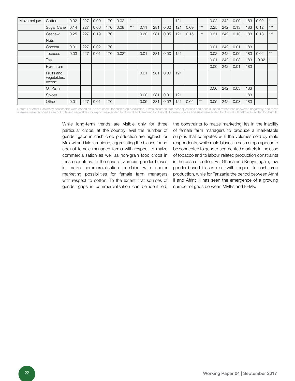| Mozambique | Cotton                              | 0.02 | 227 | 0.00 | 170 | 0.02    | $\star$ |      |     |      | 121 |      |              | 0.02 | 242 | 0.00 | 183 | 0.02    |              |
|------------|-------------------------------------|------|-----|------|-----|---------|---------|------|-----|------|-----|------|--------------|------|-----|------|-----|---------|--------------|
|            | Sugar Cane                          | 0.14 | 227 | 0.06 | 170 | 0.08    | $***$   | 0.11 | 281 | 0.02 | 121 | 0.09 | $***$        | 0.25 | 242 | 0.13 | 183 | 0.12    | $***$        |
|            | Cashew                              | 0.25 | 227 | 0.19 | 170 |         |         | 0.20 | 281 | 0.05 | 121 | 0.15 | $***$        | 0.31 | 242 | 0.13 | 183 | 0.18    | $***$        |
|            | <b>Nuts</b>                         |      |     |      |     |         |         |      |     |      |     |      |              |      |     |      |     |         |              |
|            | Coccoa                              | 0.01 | 227 | 0.02 | 170 |         |         |      |     |      |     |      |              | 0.01 | 242 | 0.01 | 183 |         |              |
|            | Tobacco                             | 0.03 | 227 | 0.01 | 170 | $0.02*$ |         | 0.01 | 281 | 0.00 | 121 |      |              | 0.02 | 242 | 0.00 | 183 | 0.02    | $\star\star$ |
|            | Tea                                 |      |     |      |     |         |         |      |     |      |     |      |              | 0.01 | 242 | 0.03 | 183 | $-0.02$ |              |
|            | Pyrethrum                           |      |     |      |     |         |         |      |     |      |     |      |              | 0.00 | 242 | 0.01 | 183 |         |              |
|            | Fruits and<br>vegetables,<br>export |      |     |      |     |         |         | 0.01 | 281 | 0.00 | 121 |      |              |      |     |      |     |         |              |
|            | Oil Palm                            |      |     |      |     |         |         |      |     |      |     |      |              | 0.06 | 242 | 0.03 | 183 |         |              |
|            | <b>Spices</b>                       |      |     |      |     |         |         | 0.00 | 281 | 0.01 | 121 |      |              |      |     |      | 183 |         |              |
|            | Other                               | 0.01 | 227 | 0.01 | 170 |         |         | 0.06 | 281 | 0.02 | 121 | 0.04 | $\star\star$ | 0.05 | 242 | 0.03 | 183 |         |              |

Notes: For Afrint I, as many households were coded as 'do not know' for cash crop production, it was assumed that these questions had been skipped rather than answered negatively, and these answers were recoded as zero. Fruits and vegetables for export were added for Afrint II and removed for Afrint III. Flowers, spices and sisal were added for Afrint II. Oil palm was added for Afrint III.

> While long-term trends are visible only for three particular crops, at the country level the number of gender gaps in cash crop production are highest for Malawi and Mozambique, aggravating the biases found against female-managed farms with respect to maize commercialisation as well as non-grain food crops in these countries. In the case of Zambia, gender biases in maize commercialisation combine with poorer marketing possibilities for female farm managers with respect to cotton. To the extent that sources of gender gaps in commercialisation can be identified,

the constraints to maize marketing lies in the inability of female farm managers to produce a marketable surplus that competes with the volumes sold by male respondents, while male biases in cash crops appear to be connected to gender-segmented markets in the case of tobacco and to labour related production constraints in the case of cotton. For Ghana and Kenya, again, few gender-based biases exist with respect to cash crop production, while for Tanzania the period between Afrint II and Afrint III has seen the emergence of a growing number of gaps between MMFs and FFMs.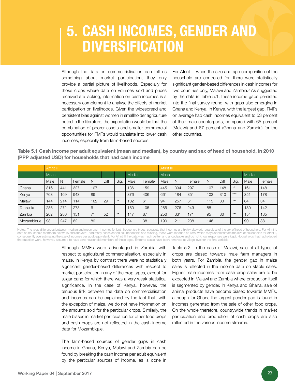# 5. Cash incomes, gender and **DIVERSIFICATION**

Although the data on commercialisation can tell us something about market participation, they only provide a partial picture of livelihoods. Especially for those crops where data on volumes sold and prices received are lacking, information on cash incomes is a necessary complement to analyse the effects of market participation on livelihoods. Given the widespread and persistent bias against women in smallholder agriculture noted in the literature, the expectation would be that the combination of poorer assets and smaller commercial opportunities for FMFs would translate into lower cash incomes, especially from farm-based sources.

For Afrint II, when the size and age composition of the household are controlled for, there were statistically significant gender-based differences in cash incomes for two countries only, Malawi and Zambia.<sup>3</sup> As suggested by the data in Table 5.1, these income gaps persisted into the final survey round, with gaps also emerging in Ghana and Kenya. In Kenya, with the largest gap, FMFs on average had cash incomes equivalent to 53 percent of their male counterparts, compared with 65 percent (Malawi) and 67 percent (Ghana and Zambia) for the other countries.

Table 5.1 Cash income per adult equivalent (mean and median), by country and sex of head of household, in 2010 (PPP adjusted USD) for households that had cash income

|            | Afrint II |     |        |     |      |      |        |        |      | Afrint III |        |        |      |       |      |        |  |  |
|------------|-----------|-----|--------|-----|------|------|--------|--------|------|------------|--------|--------|------|-------|------|--------|--|--|
|            | Mean      |     |        |     |      |      | Median |        | Mean |            |        | Median |      |       |      |        |  |  |
|            | Male      | N   | Female | N   | Diff | Sig. | Male   | Female | Male | N          | Female | N      | Diff | Sig.  | Male | Female |  |  |
| Ghana      | 316       | 441 | 327    | 107 |      |      | 136    | 159    | 445  | 394        | 297    | 107    | 148  | $**$  | 161  | 148    |  |  |
| Kenya      | 768       | 169 | 943    | 89  |      |      | 376    | 406    | 661  | 184        | 351    | 103    | 310  | $***$ | 351  | 178    |  |  |
| Malawi     | 144       | 214 | 114    | 162 | 29   | $**$ | 102    | 61     | 94   | 257        | 61     | 115    | 33   | $***$ | 64   | 34     |  |  |
| Tanzania   | 286       | 272 | 273    | 61  |      |      | 180    | 105    | 285  | 276        | 249    | 88     |      |       | 180  | 142    |  |  |
| Zambia     | 202       | 286 | 151    | 71  | 52   | $**$ | 147    | 87     | 256  | 331        | 171    | 95     | 86   | $***$ | 154  | 135    |  |  |
| Mozambique | 98        | 247 | 82     | 89  |      |      | 34     | 38     | 190  | 211        | 238    | 146    |      |       | 90   | 88     |  |  |

Notes: The large differences between median and mean cash incomes for both household types, suggests that incomes are highly skewed, regardless of the sex of head of household. For Afrint II, data on household members below 15 and above 61 had many cases coded as uncodeable and missing, these were recoded as zero, which may underestimate the size of households for Afrint II,<br>consequently overestimating the size the question were, however, assumed to have zero household members of these ages. Extreme cases have been removed at village level for the final variable.

> Although MMFs were advantaged in Zambia with respect to agricultural commercialisation, especially in maize, in Kenya by contrast there were no statistically significant gender-based differences with respect to market participation in any of the crop types, except for sugar cane for which there was a very weak statistical significance. In the case of Kenya, however, the tenuous link between the data on commercialisation and incomes can be explained by the fact that, with the exception of maize, we do not have information on the amounts sold for the particular crops. Similarly, the male biases in market participation for other food crops and cash crops are not reflected in the cash income data for Mozambique.

> The farm-based sources of gender gaps in cash income in Ghana, Kenya, Malawi and Zambia can be found by breaking the cash income per adult equivalent by the particular sources of income, as is done in

Table 5.2. In the case of Malawi, sale of all types of crops are biased towards male farm managers in both years. For Zambia, the gender gap in maize sales is reflected in the income data on staple sales. Higher male incomes from cash crop sales are to be expected in Malawi and Zambia where production itself is segmented by gender. In Kenya and Ghana, sale of animal products have become biased towards MMFs, although for Ghana the largest gender gap is found in incomes generated from the sale of other food crops. On the whole therefore, countrywide trends in market participation and production of cash crops are also reflected in the various income streams.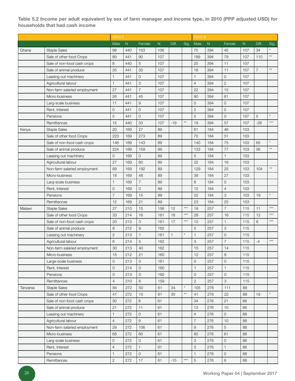Table 5.2 Income per adult equivalent by sex of farm manager and income type, in 2010 (PPP adjusted USD) for households that had cash income

|          |                              | Afrint II      |           |                |     |              |                 | Afrint III     |           |                |     |                |              |
|----------|------------------------------|----------------|-----------|----------------|-----|--------------|-----------------|----------------|-----------|----------------|-----|----------------|--------------|
|          |                              | Male           | ${\sf N}$ | Female         | N   | Diff.        | Sig.            | Male           | ${\sf N}$ | Female         | N   | Diff.          | Sig.         |
| Ghana    | <b>Staple Sales</b>          | 98             | 440       | 103            | 106 |              |                 | 75             | 394       | 40             | 107 | 34             | $\star$      |
|          | Sale of other food Crops     | 89             | 441       | 90             | 107 |              |                 | 189            | 394       | 79             | 107 | 110            | $\star\star$ |
|          | Sale of non-food cash crops  | 8              | 440       | 5              | 107 |              |                 | 20             | 394       | 11             | 107 |                |              |
|          | Sale of animal produce       | 35             | 441       | 33             | 107 |              |                 | 18             | 394       | 11             | 107 | $\overline{7}$ | $\star\star$ |
|          | Leasing out machinery        | $\mathbf{1}$   | 441       | 0              | 107 |              |                 | $\mathbf{1}$   | 394       | $\mathbf 0$    | 107 |                |              |
|          | Agricultural labour          | $\mathbf{1}$   | 441       | 3              | 107 |              |                 | $\overline{4}$ | 394       | $\mathbf{2}$   | 107 |                |              |
|          | Non-farm salaried employment | 27             | 441       | $\overline{7}$ | 107 |              |                 | 22             | 394       | 15             | 107 |                |              |
|          | Micro-business               | 26             | 441       | 45             | 107 |              |                 | 90             | 394       | 81             | 107 |                |              |
|          | Larg-scale business          | 11             | 441       | 9              | 107 |              |                 | $\mathbf 0$    | 394       | 0              | 107 |                |              |
|          | Rent, Interest               | $\overline{O}$ | 441       | 0              | 107 |              |                 | $\sqrt{2}$     | 394       | 0              | 107 |                |              |
|          | Pensions                     | 5              | 441       | $\overline{0}$ | 107 |              |                 | 5              | 394       | 0              | 107 | 5              | $\star$      |
|          | Remittances                  | 15             | 440       | 33             | 107 | $-19$        | $\star\star$    | 19             | 394       | 57             | 107 | $-28$          | $***$        |
| Kenya    | <b>Staple Sales</b>          | 20             | 169       | 27             | 89  |              |                 | 61             | 184       | 46             | 103 |                |              |
|          | Sale of other food Crops     | 223            | 169       | 273            | 89  |              |                 | 70             | 184       | 51             | 103 |                |              |
|          | Sale of non-food cash crops  | 146            | 169       | 143            | 89  |              |                 | 140            | 184       | 75             | 103 | 65             | $^\star$     |
|          | Sale of animal produce       | 224            | 169       | 159            | 89  |              |                 | 133            | 184       | 77             | 103 | 56             | $\star\star$ |
|          | Leasing out machinery        | $\mathbf{O}$   | 169       | 0              | 89  |              |                 | 5              | 184       | $\mathbf{1}$   | 103 |                |              |
|          | Agricultural labour          | 27             | 169       | 60             | 89  |              |                 | 22             | 184       | 16             | 103 |                |              |
|          | Non-farm salaried employment | 89             | 169       | 192            | 89  |              |                 | 129            | 184       | 25             | 103 | 104            | $\star\star$ |
|          | Micro-business               | 18             | 169       | 48             | 89  |              |                 | 38             | 184       | 27             | 103 |                |              |
|          | Larg-scale business          | $\mathbf{1}$   | 169       | $\overline{7}$ | 89  |              |                 | 6              | 184       | 0              | 103 |                |              |
|          | Rent, Interest               | $\overline{O}$ | 169       | $\overline{O}$ | 89  |              |                 | 12             | 184       | $\overline{4}$ | 103 |                |              |
|          | Pensions                     | 7              | 169       | 15             | 89  |              |                 | 22             | 184       | 3              | 103 | 19             | $\star$      |
|          | Remittances                  | 12             | 169       | 21             | 89  |              |                 | 23             | 184       | 25             | 103 |                |              |
| Malawi   | <b>Staple Sales</b>          | 27             | 210       | 15             | 156 | 12           | $***$           | 18             | 257       | $\overline{7}$ | 115 | 11             | $***$        |
|          | Sale of other food Crops     | 33             | 214       | 16             | 161 | 18           | $***$           | 28             | 257       | 16             | 115 | 12             | $***$        |
|          | Sale of non-food cash crops  | 20             | 213       | 3              | 161 | 17           | $***$           | 10             | 257       | $\mathbf{1}$   | 115 | 8              | $***$        |
|          | Sale of animal produce       | 8              | 212       | 9              | 162 |              |                 | 5              | 257       | 3              | 115 |                |              |
|          | Leasing out machinery        | $\mathbf{2}$   | 213       | 1              | 161 | $\mathbf{1}$ | $\star$         | $\mathbf{1}$   | 257       | 0              | 115 |                |              |
|          | Agricultural labour          | 6              | 214       | 5              | 162 |              |                 | 3              | 257       | $\overline{7}$ | 115 | $-4$           | $***$        |
|          | Non-farm salaried employment | 30             | 213       | 40             | 162 |              |                 | 15             | 257       | 14             | 115 |                |              |
|          | Micro-business               | 15             | 212       | 21             | 160 |              |                 | 12             | 257       | 8              | 115 |                |              |
|          | Large-scale business         | 0              | 213       | 0              | 161 |              |                 | $\mathbf{O}$   | 257       | 0              | 115 |                |              |
|          | Rent, Interest               | $\mathbf{O}$   | 214       | 0              | 160 |              |                 | $\mathbf{1}$   | 257       | 1              | 115 |                |              |
|          | Pensions                     | 0              | 213       | 0              | 162 |              |                 | $\mathbf 0$    | 257       | 0              | 115 |                |              |
|          | Remittances                  | $\overline{4}$ | 210       | 6              | 159 |              |                 | $\mathbf{2}$   | 257       | 3              | 115 |                |              |
| Tanzania | <b>Staple Sales</b>          | 84             | 272       | 50             | 61  | 34           | $\star$         | 105            | 276       | 111            | 88  |                |              |
|          | Sale of other food Crops     | 41             | 272       | 10             | 61  | 30           | $^{\star\star}$ | 41             | 276       | 22             | 88  | 19             | $\star$      |
|          | Sale of non-food cash crops  | 30             | 272       | 8              | 61  |              |                 | 34             | 276       | 21             | 88  |                |              |
|          | Sale of animal produce       | 21             | 272       | 11             | 61  |              |                 | 13             | 276       | 10             | 88  |                |              |
|          | Leasing out machinery        | $\mathbf{1}$   | 272       | $\circ$        | 61  |              |                 | $\overline{4}$ | 276       | $\mathsf{O}$   | 88  |                |              |
|          | Agricultural labour          | $\overline{4}$ | 272       | 9              | 61  |              |                 | $\overline{7}$ | 276       | 10             | 88  |                |              |
|          | Non-farm salaried employment | 29             | 272       | 106            | 61  |              |                 | 9              | 276       | 5              | 88  |                |              |
|          | Micro-business               | 68             | 272       | 60             | 61  |              |                 | 60             | 276       | 61             | 88  |                |              |
|          | Larg-scale business          | $\mathsf{O}$   | 272       | 0              | 61  |              |                 | 3              | 276       | 0              | 88  |                |              |
|          | Rent, Interest               | $\overline{4}$ | 272       | 1              | 61  |              |                 | 3              | 276       | $\mathbf{1}$   | 88  |                |              |
|          | Pensions                     | 1              | 272       | $\circ$        | 61  |              |                 | $\mathbf{1}$   | 276       | $\mathbf{O}$   | 88  |                |              |
|          | Remittances                  | $\sqrt{2}$     | 272       | $17$           | 61  | $-15$        | $***$           | $\mathbf 5$    | 276       | $\,8\,$        | 88  |                |              |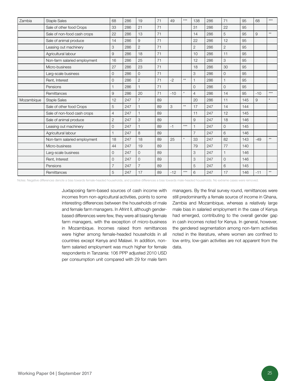| Zambia     | <b>Staple Sales</b>          | 68             | 286 | 19             | 71 | 49    | $***$           | 138            | 286 | 71             | 95  | 68    | $***$        |
|------------|------------------------------|----------------|-----|----------------|----|-------|-----------------|----------------|-----|----------------|-----|-------|--------------|
|            | Sale of other food Crops     | 33             | 286 | 21             | 71 |       |                 | 31             | 286 | 22             | 95  |       |              |
|            | Sale of non-food cash crops  | 22             | 286 | 13             | 71 |       |                 | 14             | 286 | 5              | 95  | 9     | $\star\star$ |
|            | Sale of animal produce       | 14             | 286 | 9              | 71 |       |                 | 22             | 286 | 12             | 95  |       |              |
|            | Leasing out machinery        | 3              | 286 | $\overline{2}$ | 71 |       |                 | $\mathbf{2}$   | 286 | 2              | 95  |       |              |
|            | Agricultural labour          | $\hbox{9}$     | 286 | 18             | 71 |       |                 | 10             | 286 | 11             | 95  |       |              |
|            | Non-farm salaried employment | 16             | 286 | 25             | 71 |       |                 | 12             | 286 | 3              | 95  |       |              |
|            | Micro-business               | 27             | 286 | 23             | 71 |       |                 | 18             | 286 | 30             | 95  |       |              |
|            | Larg-scale business          | $\overline{0}$ | 286 | $\overline{O}$ | 71 |       |                 | 3              | 286 | 0              | 95  |       |              |
|            | Rent, Interest               | $\Omega$       | 286 | $\overline{2}$ | 71 | $-2$  | $^{\star\star}$ | $\mathbf{1}$   | 286 | $\mathbf{1}$   | 95  |       |              |
|            | Pensions                     |                | 286 |                | 71 |       |                 | 0              | 286 | $\overline{O}$ | 95  |       |              |
|            | Remittances                  | 9              | 286 | 20             | 71 | $-10$ | $\star$         | $\overline{4}$ | 286 | 14             | 95  | $-10$ | $***$        |
| Mozambique | <b>Staple Sales</b>          | 12             | 247 | $\overline{7}$ | 89 |       |                 | 20             | 286 | 11             | 145 | 9     | $\star$      |
|            | Sale of other food Crops     | 5              | 247 |                | 89 | 3     | $^{\star\star}$ | 17             | 247 | 14             | 144 |       |              |
|            | Sale of non-food cash crops  | $\overline{4}$ | 247 |                | 89 |       |                 | 11             | 247 | 12             | 145 |       |              |
|            | Sale of animal produce       | $\overline{c}$ | 247 | 3              | 89 |       |                 | 9              | 247 | 18             | 146 |       |              |
|            | Leasing out machinery        | $\overline{0}$ | 247 | $\mathbf{1}$   | 89 | $-1$  | $***$           |                | 247 | $\overline{0}$ | 145 |       |              |
|            | Agricultural labour          |                | 247 | 8              | 89 |       |                 | $\overline{7}$ | 247 | 6              | 146 |       |              |
|            | Non-farm salaried employment | 18             | 247 | 18             | 89 | 25    | $\star$         | 33             | 247 | 82             | 143 | $-49$ | $\star\star$ |
|            | Micro-business               | 44             | 247 | 19             | 89 |       |                 | 79             | 247 | 77             | 140 |       |              |
|            | Larg-scale business          | $\mathbf{O}$   | 247 | $\overline{O}$ | 89 |       |                 | 3              | 247 | $\mathbf{1}$   | 146 |       |              |
|            | Rent, Interest               | $\Omega$       | 247 | $\Omega$       | 89 |       |                 | 3              | 247 | $\Omega$       | 146 |       |              |
|            | Pensions                     | $\overline{7}$ | 247 | $\overline{7}$ | 89 |       |                 | 5              | 247 | 6              | 145 |       |              |
|            | Remittances                  | 5              | 247 | 17             | 89 | $-12$ | $***$           | 6              | 247 | 17             | 146 | $-11$ | $\star\star$ |

Notes: Negative differences denote a bias towards female-headed households, and positive differences a bias towards male-headed households. No extreme cases were removed.

Juxtaposing farm-based sources of cash income with incomes from non-agricultural activities, points to some interesting differences between the households of male and female farm managers. In Afrint II, although genderbased differences were few, they were all biasing female farm managers, with the exception of micro-business in Mozambique. Incomes raised from remittances were higher among female-headed households in all countries except Kenya and Malawi. In addition, nonfarm salaried employment was much higher for female respondents in Tanzania: 106 PPP adjusted 2010 USD per consumption unit compared with 29 for male farm

managers. By the final survey round, remittances were still predominantly a female source of income in Ghana, Zambia and Mozambique, whereas a relatively large male bias in salaried employment in the case of Kenya had emerged, contributing to the overall gender gap in cash incomes noted for Kenya. In general, however, the gendered segmentation among non-farm activities noted in the literature, where women are confined to low entry, low-gain activities are not apparent from the data.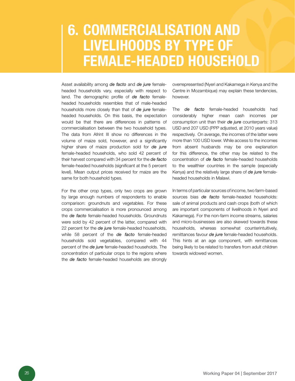### 6. COMMERCIALISATION A livelihoods by type of female-headed household

Asset availability among *de facto* and *de jure* femaleheaded households vary, especially with respect to land. The demographic profile of *de facto* femaleheaded households resembles that of male-headed households more closely than that of *de jure* femaleheaded households. On this basis, the expectation would be that there are differences in patterns of commercialisation between the two household types. The data from Afrint III show no differences in the volume of maize sold, however, and a significantly higher share of maize production sold for *de jure*  female-headed households, who sold 42 percent of their harvest compared with 34 percent for the *de facto*  female-headed households (significant at the 5 percent level). Mean output prices received for maize are the same for both household types.

For the other crop types, only two crops are grown by large enough numbers of respondents to enable comparison: groundnuts and vegetables. For these crops commercialisation is more pronounced among the *de facto* female-headed households. Groundnuts were sold by 42 percent of the latter, compared with 22 percent for the *de jure* female-headed households, while 58 percent of the *de facto* female-headed households sold vegetables, compared with 44 percent of the *de jure* female-headed households. The concentration of particular crops to the regions where the *de facto* female-headed households are strongly

overrepresented (Nyeri and Kakamega in Kenya and the Centre in Mozambique) may explain these tendencies, however.

The *de facto* female-headed households had considerably higher mean cash incomes per consumption unit than their *de jure* counterparts: 313 USD and 207 USD (PPP adjusted, at 2010 years value) respectively. On average, the incomes of the latter were more than 100 USD lower. While access to the incomes from absent husbands may be one explanation for this difference, the other may be related to the concentration of *de facto* female-headed households to the wealthier countries in the sample (especially Kenya) and the relatively large share of *de jure* femaleheaded households in Malawi.

In terms of particular sources of income, two farm-based sources bias *de facto* female-headed households: sale of animal products and cash crops (both of which are important components of livelihoods in Nyeri and Kakamega). For the non-farm income streams, salaries and micro-businesses are also skewed towards these households, whereas somewhat counterintuitively, remittances favour *de jure* female-headed households. This hints at an age component, with remittances being likely to be related to transfers from adult children towards widowed women.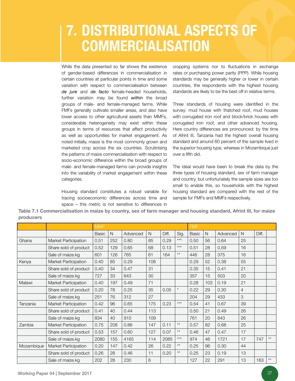# 7. DISTRIBUTIONAL ASPECTS O **COMMERCIALISATION**

While the data presented so far shows the existence of gender-based differences in commercialisation in certain countries at particular points in time and some variation with respect to commercialisation between *de jure* and *de facto* female-headed households, further variation may be found *within* the broad groups of male- and female-managed farms. While FMFs generally cultivate smaller areas, and also have lower access to other agricultural assets than MMFs, considerable heterogeneity may exist within these groups in terms of resources that affect productivity as well as opportunities for market engagement. As noted initially, maize is the most commonly grown and marketed crop across the six countries. Scrutinising the patterns of maize commercialisation with respect to socio-economic difference within the broad groups of male- and female-managed farms can provide insights into the variability of market engagement within these categories.

Housing standard constitutes a robust variable for tracing socioeconomic differences across time and space – this metric is not sensitive to differences in

cropping systems nor to fluctuations in exchange rates or purchasing power parity (PPP). While housing standards may be generally higher or lower in certain countries, the respondents with the highest housing standards are likely to be the best off in relative terms.

Three standards of housing were identified in the survey: mud house with thatched roof, mud houses with corrugated iron roof and block/brick houses with corrugated iron roof, and other advanced housing. Here country differences are pronounced: by the time of Afrint III, Tanzania had the highest overall housing standard and around 60 percent of the sample lived in the superior housing type, whereas in Mozambique just over a fifth did.

The ideal would have been to break the data by the three types of housing standard, sex of farm manager and country, but unfortunately the sample sizes are too small to enable this, so households with the highest housing standard are compared with the rest of the sample for FMFs and MMFs respectively.

Table 7.1 Commercialisation in maize by country, sex of farm manager and housing standard, Afrint III, for maize producers

|            |                       | <b>MMF</b>   |     |          |     |       |                 | <b>FMF</b>   |     |          |                |       |              |
|------------|-----------------------|--------------|-----|----------|-----|-------|-----------------|--------------|-----|----------|----------------|-------|--------------|
|            |                       | <b>Basic</b> | N   | Advanced | N   | Diff. | Sig.            | <b>Basic</b> | N   | Advanced | N              | Diff. |              |
| Ghana      | Market Participation  | 0.51         | 252 | 0.80     | 85  | 0.29  | $***$           | 0.50         | 56  | 0.64     | 25             |       |              |
|            | Share sold of product | 0.52         | 129 | 0.65     | 68  | 0.13  | $***$           | 0.51         | 28  | 0.59     | 16             |       |              |
|            | Sale of maize.kg      | 601          | 126 | 765      | 61  | 164   | $\star\star$    | 446          | 28  | 375      | 16             |       |              |
| Kenya      | Market Participation  | 0.40         | 85  | 0.29     | 108 |       |                 | 0.29         | 52  | 0.38     | 55             |       |              |
|            | Share sold of product | 0.40         | 34  | 0.47     | 31  |       |                 | 0.35         | 15  | 0.41     | 21             |       |              |
|            | Sale of maize.kg      | 727          | 33  | 643      | 30  |       |                 | 357          | 15  | 503      | 20             |       |              |
| Malawi     | Market Participation  | 0.40         | 197 | 0.49     | 71  |       |                 | 0.28         | 103 | 0.19     | 21             |       |              |
|            | Share sold of product | 0.20         | 78  | 0.25     | 35  | 0.05  | $\star$         | 0.22         | 29  | 0.30     | $\overline{4}$ |       |              |
|            | Sale of maize.kg      | 251          | 76  | 312      | 27  |       |                 | 204          | 29  | 433      | 3              |       |              |
| Tanzania   | Market Participation  | 0.42         | 96  | 0.65     | 175 | 0.23  | $***$           | 0.54         | 41  | 0.67     | 39             |       |              |
|            | Share sold of product | 0.41         | 40  | 0.44     | 113 |       |                 | 0.50         | 21  | 0.49     | 26             |       |              |
|            | Sale of maize.kg      | 834          | 40  | 910      | 109 |       |                 | 761          | 20  | 643      | 26             |       |              |
| Zambia     | Market Participation  | 0.75         | 208 | 0.86     | 147 | 0.11  | $^{\star\star}$ | 0.57         | 82  | 0.68     | 25             |       |              |
|            | Share sold of product | 0.53         | 157 | 0.60     | 127 | 0.07  | $\star\star$    | 0.46         | 47  | 0.47     | 17             |       |              |
|            | Sale of maize.kg      | 2080         | 155 | 4165     | 114 | 2085  | $***$           | 974          | 46  | 1721     | 17             | 747   | $**$         |
| Mozambique | Market Participation  | 0.20         | 147 | 0.42     | 26  | 0.22  | $\star\star$    | 0.25         | 96  | 0.30     | 44             |       |              |
|            | Share sold of product | 0.26         | 28  | 0.46     | 11  | 0.20  | $\star\star$    | 0.25         | 23  | 0.19     | 13             |       |              |
|            | Sale of maize.kg      | 202          | 28  | 230      | 6   |       |                 | 127          | 22  | 291      | 13             | 163   | $\star\star$ |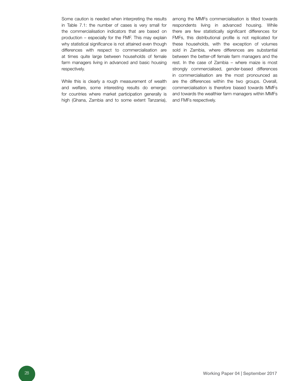Some caution is needed when interpreting the results in Table 7.1: the number of cases is very small for the commercialisation indicators that are based on production – especially for the FMF. This may explain why statistical significance is not attained even though differences with respect to commercialisation are at times quite large between households of female farm managers living in advanced and basic housing respectively.

While this is clearly a rough measurement of wealth and welfare, some interesting results do emerge: for countries where market participation generally is high (Ghana, Zambia and to some extent Tanzania), among the MMFs commercialisation is tilted towards respondents living in advanced housing. While there are few statistically significant differences for FMFs, this distributional profile is not replicated for these households, with the exception of volumes sold in Zambia, where differences are substantial between the better-off female farm managers and the rest. In the case of Zambia – where maize is most strongly commercialised, gender-based differences in commercialisation are the most pronounced as are the differences within the two groups. Overall, commercialisation is therefore biased towards MMFs and towards the wealthier farm managers within MMFs and FMFs respectively.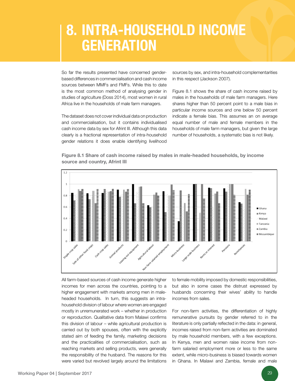# 8. INTRA-HOUSEHOLD INCOME **GENERATION**

So far the results presented have concerned genderbased differences in commercialisation and cash income sources between MMFs and FMFs. While this to date is the most common method of analysing gender in studies of agriculture (Doss 2014), most women in rural Africa live in the households of male farm managers.

The dataset does not cover individual data on production and commercialisation, but it contains individualised cash income data by sex for Afrint III. Although this data clearly is a fractional representation of intra-household gender relations it does enable identifying livelihood

sources by sex, and intra-household complementarities in this respect (Jackson 2007).

Figure 8.1 shows the share of cash income raised by males in the households of male farm managers. Here shares higher than 50 percent point to a male bias in particular income sources and one below 50 percent indicate a female bias. This assumes an on average equal number of male and female members in the households of male farm managers, but given the large number of households, a systematic bias is not likely.

Figure 8.1 Share of cash income raised by males in male-headed households, by income source and country, Afrint III



All farm-based sources of cash income generate higher incomes for men across the countries, pointing to a higher engagement with markets among men in maleheaded households. In turn, this suggests an intrahousehold division of labour where women are engaged mostly in unremunerated work – whether in production or reproduction. Qualitative data from Malawi confirms this division of labour – while agricultural production is carried out by both spouses, often with the explicitly stated aim of feeding the family, marketing decisions and the practicalities of commercialisation, such as reaching markets and selling products, were generally the responsibility of the husband. The reasons for this were varied but revolved largely around the limitations to female mobility imposed by domestic responsibilities, but also in some cases the distrust expressed by husbands concerning their wives' ability to handle incomes from sales.

For non-farm activities, the differentiation of highly remunerative pursuits by gender referred to in the literature is only partially reflected in the data: in general, incomes raised from non-farm activities are dominated by male household members, with a few exceptions. In Kenya, men and women raise income from nonfarm salaried employment more or less to the same extent, while micro-business is biased towards women in Ghana. In Malawi and Zambia, female and male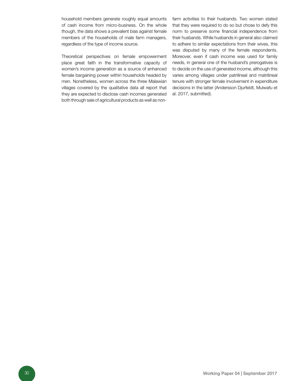household members generate roughly equal amounts of cash income from micro-business. On the whole though, the data shows a prevalent bias against female members of the households of male farm managers, regardless of the type of income source.

Theoretical perspectives on female empowerment place great faith in the transformative capacity of women's income generation as a source of enhanced female bargaining power within households headed by men. Nonetheless, women across the three Malawian villages covered by the qualitative data all report that they are expected to disclose cash incomes generated both through sale of agricultural products as well as nonfarm activities to their husbands. Two women stated that they were required to do so but chose to defy this norm to preserve some financial independence from their husbands. While husbands in general also claimed to adhere to similar expectations from their wives, this was disputed by many of the female respondents. Moreover, even if cash income was used for family needs, in general one of the husband's prerogatives is to decide on the use of generated income, although this varies among villages under patrilineal and matrilineal tenure with stronger female involvement in expenditure decisions in the latter (Andersson Djurfeldt, Mulwafu et al. 2017, submitted).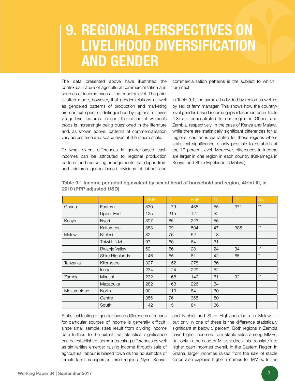### **9. REGIONAL PERSPECTIVES O** livelihood diversification and gender

The data presented above have illustrated the contextual nature of agricultural commercialisation and sources of income even at the country level. The point is often made, however, that gender relations as well as gendered patterns of production and marketing are context specific, distinguished by regional or even village-level features. Indeed, the notion of women's crops is increasingly being questioned in the literature and, as shown above, patterns of commercialisation vary across time and space even at the macro scale.

To what extent differences in gender-based cash incomes can be attributed to regional production patterns and marketing arrangements that depart from and reinforce gender-based divisions of labour and

commercialisation patterns is the subject to which I turn next.

In Table 9.1, the sample is divided by region as well as by sex of farm manager. This shows how the countrylevel gender-based income gaps (documented in Table 4.3) are concentrated to one region in Ghana and Zambia, respectively. In the case of Kenya and Malawi, while there are statistically significant differences for all regions, caution is warranted for those regions where statistical significance is only possible to establish at the 10 percent level. Moreover, differences in income are larger in one region in each country (Kakamega in Kenya, and Shire Highlands in Malawi).

|            |                      | <b>MMF</b> | $\mathbb N$ | <b>FMF</b> | $\mathbb N$ | Diff. | Sig.         |
|------------|----------------------|------------|-------------|------------|-------------|-------|--------------|
| Ghana      | Eastern              | 830        | 179         | 458        | 55          | 371   | $\star\star$ |
|            | Upper East           | 125        | 215         | 127        | 52          |       |              |
| Kenya      | Nyeri                | 397        | 85          | 223        | 56          |       |              |
|            | Kakamega             | 888        | 99          | 504        | 47          | 385   | $***$        |
| Malawi     | <b>Ntchisi</b>       | 82         | 76          | 52         | 18          |       |              |
|            | Thiwi Lifidzi        | 97         | 60          | 64         | 31          |       |              |
|            | <b>Bwanje Valley</b> | 62         | 66          | 28         | 24          | 34    | $**$         |
|            | Shire Highlands      | 146        | 55          | 81         | 42          | 65    | $^\star$     |
| Tanzania   | Kilombero            | 327        | 152         | 278        | 36          |       |              |
|            | Iringa               | 234        | 124         | 229        | 52          |       |              |
| Zambia     | Mkushi               | 232        | 168         | 140        | 61          | 92    | $**$         |
|            | Mazabuka             | 282        | 163         | 226        | 34          |       |              |
| Mozambique | North                | 90         | 119         | 84         | 30          |       |              |
|            | Centre               | 356        | 76          | 365        | 80          |       |              |
|            | South                | 142        | 15          | 84         | 36          |       |              |

Table 9.1 Income per adult equivalent by sex of head of household and region, Afrint III, in 2010 (PPP adjusted USD)

Statistical testing of gender-based differences of means for particular sources of income is generally difficult, since small sample sizes result from dividing income data further. To the extent that statistical significance can be established, some interesting differences as well as similarities emerge: raising income through sale of agricultural labour is biased towards the households of female farm managers in three regions (Nyeri, Kenya,

and Ntchisi and Shire Highlands both in Malawi) – but only in one of these is the difference statistically significant at below 5 percent. Both regions in Zambia have higher incomes from staple sales among MMFs, but only in the case of Mkushi does this translate into higher cash incomes overall. In the Eastern Region in Ghana, larger incomes raised from the sale of staple crops also explains higher incomes for MMFs. In the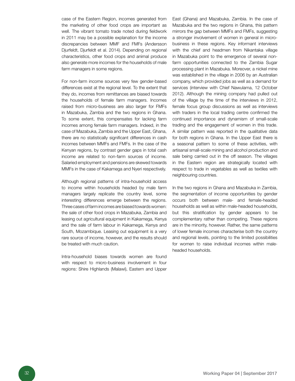case of the Eastern Region, incomes generated from the marketing of other food crops are important as well. The vibrant tomato trade noted during fieldwork in 2011 may be a possible explanation for the income discrepancies between MMF and FMFs (Andersson Djurfeldt, Djurfeldt et al. 2014). Depending on regional characteristics, other food crops and animal produce also generate more incomes for the households of male farm managers in some regions.

For non-farm income sources very few gender-based differences exist at the regional level. To the extent that they do, incomes from remittances are biased towards the households of female farm managers. Incomes raised from micro-business are also larger for FMFs in Mazabuka, Zambia and the two regions in Ghana. To some extent, this compensates for lacking farm incomes among female farm managers. Indeed, in the case of Mazabuka, Zambia and the Upper East, Ghana, there are no statistically significant differences in cash incomes between MMFs and FMFs. In the case of the Kenyan regions, by contrast gender gaps in total cash income are related to non-farm sources of income. Salaried employment and pensions are skewed towards MMFs in the case of Kakamega and Nyeri respectively.

Although regional patterns of intra-household access to income within households headed by male farm managers largely replicate the country level, some interesting differences emerge between the regions. Three cases of farm incomes are biased towards women: the sale of other food crops in Mazabuka, Zambia and leasing out agricultural equipment in Kakamega, Kenya and the sale of farm labour in Kakamega, Kenya and South, Mozambique. Leasing out equipment is a very rare source of income, however, and the results should be treated with much caution.

Intra-household biases towards women are found with respect to micro-business involvement in four regions: Shire Highlands (Malawi), Eastern and Upper East (Ghana) and Mazabuka, Zambia. In the case of Mazabuka and the two regions in Ghana, this pattern mirrors the gap between MMFs and FMFs, suggesting a stronger involvement of women in general in microbusiness in these regions. Key informant interviews with the chief and headmen from Nikantaka village in Mazabuka point to the emergence of several nonfarm opportunities connected to the Zambia Sugar processing plant in Mazabuka. Moreover, a nickel mine was established in the village in 2006 by an Australian company, which provided jobs as well as a demand for services (interview with Chief Nawulama, 12 October 2012). Although the mining company had pulled out of the village by the time of the interviews in 2012, female focus group discussions as well as interviews with traders in the local trading centre confirmed the continued importance and dynamism of small-scale trading and the engagement of women in this trade. A similar pattern was reported in the qualitative data for both regions in Ghana. In the Upper East there is a seasonal pattern to some of these activities, with artisanal small-scale mining and alcohol production and sale being carried out in the off season. The villages in the Eastern region are strategically located with respect to trade in vegetables as well as textiles with neighbouring countries.

In the two regions in Ghana and Mazabuka in Zambia, the segmentation of income opportunities by gender occurs both between male- and female-headed households as well as within male-headed households, but this stratification by gender appears to be complementary rather than competing. These regions are in the minority, however. Rather, the same patterns of lower female incomes characterise both the country and regional levels, pointing to the limited possibilities for women to raise individual incomes within maleheaded households.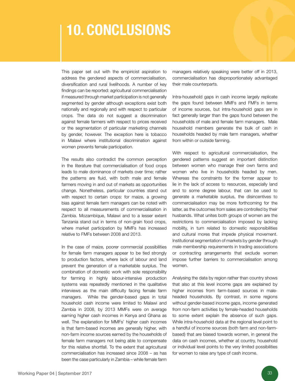### 10. Conclusions

This paper set out with the empiricist aspiration to address the gendered aspects of commercialisation, diversification and rural livelihoods. A number of key findings can be reported: agricultural commercialisation if measured through market participation is not generally segmented by gender although exceptions exist both nationally and regionally and with respect to particular crops. The data do not suggest a discrimination against female farmers with respect to prices received or the segmentation of particular marketing channels by gender, however. The exception here is tobacco in Malawi where institutional discrimination against women prevents female participation.

The results also contradict the common perception in the literature that commercialisation of food crops leads to male dominance of markets over time; rather the patterns are fluid, with both male and female farmers moving in and out of markets as opportunities change. Nonetheless, particular countries stand out with respect to certain crops: for maize, a growing bias against female farm managers can be noted with respect to all measurements of commercialisation in Zambia. Mozambique, Malawi and to a lesser extent Tanzania stand out in terms of non-grain food crops, where market participation by MMFs has increased relative to FMFs between 2008 and 2013.

In the case of maize, poorer commercial possibilities for female farm managers appear to be tied strongly to production factors, where lack of labour and land prevent the generation of a marketable surplus. The combination of domestic work with sole responsibility for farming in highly labour-intensive production systems was repeatedly mentioned in the qualitative interviews as the main difficulty facing female farm managers. While the gender-based gaps in total household cash income were limited to Malawi and Zambia in 2008, by 2013 MMFs were on average earning higher cash incomes in Kenya and Ghana as well. The explanation for MMFs' higher cash incomes is that farm-based incomes are generally higher, with non-farm income sources earned by the households of female farm managers not being able to compensate for this relative shortfall. To the extent that agricultural commercialisation has increased since 2008 – as has been the case particularly in Zambia – while female farm

managers relatively speaking were better off in 2013, commercialisation has disproportionately advantaged their male counterparts.

Intra-household gaps in cash income largely replicate the gaps found between MMFs and FMFs in terms of income sources, but intra-household gaps are in fact generally larger than the gaps found between the households of male and female farm managers. Male household members generate the bulk of cash in households headed by male farm managers, whether from within or outside farming.

With respect to agricultural commercialisation, the gendered patterns suggest an important distinction between women who manage their own farms and women who live in households headed by men. Whereas the constraints for the former appear to lie in the lack of access to resources, especially land and to some degree labour, that can be used to generate a marketable surplus, the disincentives to commercialisation may be more forthcoming for the latter, as the outcomes from sales are controlled by their husbands. What unites both groups of women are the restrictions to commercialisation imposed by lacking mobility, in turn related to domestic responsibilities and cultural mores that impede physical movement. Institutional segmentation of markets by gender through male membership requirements in trading associations or contracting arrangements that exclude women impose further barriers to commercialisation among women.

Analysing the data by region rather than country shows that also at this level income gaps are explained by higher incomes from farm-based sources in maleheaded households. By contrast, in some regions without gender-based income gaps, income generated from non-farm activities by female-headed households to some extent explain the absence of such gaps. While intra-household data at the regional level point to a handful of income sources (both farm and non-farmbased) that are biased towards women, in general the data on cash incomes, whether at country, household or individual level points to the very limited possibilities for women to raise any type of cash income.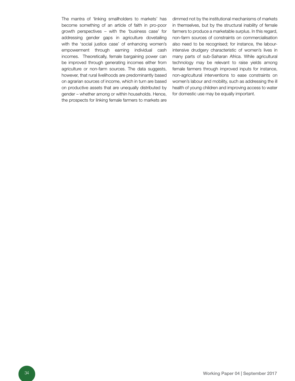The mantra of 'linking smallholders to markets' has become something of an article of faith in pro-poor growth perspectives – with the 'business case' for addressing gender gaps in agriculture dovetailing with the 'social justice case' of enhancing women's empowerment through earning individual cash incomes. Theoretically, female bargaining power can be improved through generating incomes either from agriculture or non-farm sources. The data suggests, however, that rural livelihoods are predominantly based on agrarian sources of income, which in turn are based on productive assets that are unequally distributed by gender – whether among or within households. Hence, the prospects for linking female farmers to markets are

dimmed not by the institutional mechanisms of markets in themselves, but by the structural inability of female farmers to produce a marketable surplus. In this regard, non-farm sources of constraints on commercialisation also need to be recognised; for instance, the labourintensive drudgery characteristic of women's lives in many parts of sub-Saharan Africa. While agricultural technology may be relevant to raise yields among female farmers through improved inputs for instance, non-agricultural interventions to ease constraints on women's labour and mobility, such as addressing the ill health of young children and improving access to water for domestic use may be equally important.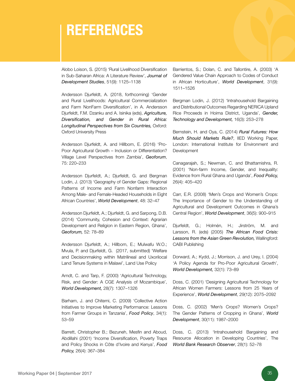### **REFERENCES**

Alobo Loison, S. (2015) 'Rural Livelihood Diversification in Sub-Saharan Africa: A Literature Review', *Journal of Development Studies*, 51(9): 1125–1138

Andersson Djurfeldt, A. (2018, forthcoming) 'Gender and Rural Livelihoods: Agricultural Commercialization and Farm NonFarm Diversification', in A. Andersson Djurfeldt, F.M. Dzanku and A. Isinika (eds), *Agriculture, Diversification, and Gender in Rural Africa: Longitudinal Perspectives from Six Countries,* Oxford: Oxford University Press

Andersson Djurfeldt, A. and Hillbom, E. (2016) 'Pro-Poor Agricultural Growth – Inclusion or Differentiation? Village Level Perspectives from Zambia', *Geoforum*, 75: 220–233

Andersson Djurfeldt, A.; Djurfeldt, G. and Bergman Lodin, J. (2013) 'Geography of Gender Gaps: Regional Patterns of Income and Farm Nonfarm Interaction Among Male- and Female-Headed Households in Eight African Countries', *World Development*, 48: 32–47

Andersson Djurfeldt, A.; Djurfeldt, G. and Sarpong, D.B. (2014) 'Community, Cohesion and Context: Agrarian Development and Religion in Eastern Region, Ghana', *Geoforum,* 52: 78–89

Andersson Djurfeldt, A.; Hillbom, E.; Mulwafu W.O.; Mvula, P. and Djurfeldt, G. (2017, submitted) 'Welfare and Decisionmaking within Matrilineal and Uxorilocal Land Tenure Systems in Malawi', Land Use Policy

Arndt, C. and Tarp, F. (2000) 'Agricultural Technology, Risk, and Gender: A CGE Analysis of Mozambique', *World Development,* 28(7): 1307–1326

Barham, J. and Chitemi, C. (2009) 'Collective Action Initiatives to Improve Marketing Performance: Lessons from Farmer Groups in Tanzania', *Food Policy*, 34(1): 53–59

Barrett, Christopher B.; Bezuneh, Mesfin and Aboud, Abdillahi (2001) 'Income Diversification, Poverty Traps and Policy Shocks in Côte d'Ivoire and Kenya', *Food Policy,* 26(4): 367–384

Barrientos, S.; Dolan, C. and Tallontire, A. (2003) 'A Gendered Value Chain Approach to Codes of Conduct in African Horticulture', *World Development*, 31(9): 1511–1526

Bergman Lodin, J. (2012) 'Intrahousehold Bargaining and Distributional Outcomes Regarding NERICA Upland Rice Proceeds in Hoima District, Uganda', *Gender, Technology and Development,* 16(3): 253–278

Bernstein, H. and Oya, C. (2014) *Rural Futures: How Much Should Markets Rule?*, IIED Working Paper, London: International Institute for Environment and Development

Canagarajah, S.; Newman, C. and Bhattamishra, R. (2001) 'Non-farm Income, Gender, and Inequality: Evidence from Rural Ghana and Uganda', *Food Policy,*  26(4): 405–420

Carr, E.R. (2008) 'Men's Crops and Women's Crops: The Importance of Gender to the Understanding of Agricultural and Development Outcomes in Ghana's Central Region', *World Development*, 36(5): 900–915

Djurfeldt, G.; Holmén, H.; Jirström, M. and Larsson, R. (eds) (2005) *The African Food Crisis: Lessons from the Asian Green Revolution,* Wallingford: CABI Publishing

Dorward, A.; Kydd, J.; Morrison, J. and Urey, I. (2004) 'A Policy Agenda for Pro-Poor Agricultural Growth', *World Development,* 32(1): 73–89

Doss, C. (2001) 'Designing Agricultural Technology for African Women Farmers: Lessons from 25 Years of Experience', *World Development*, 29(12): 2075–2092

Doss, C. (2002) 'Men's Crops? Women's Crops? The Gender Patterns of Cropping in Ghana', *World Development*, 30(11): 1987–2000

Doss, C. (2013) 'Intrahousehold Bargaining and Resource Allocation in Developing Countries', The *World Bank Research Observer*, 28(1): 52–78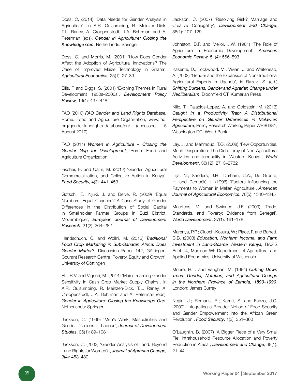Doss, C. (2014) 'Data Needs for Gender Analysis in Agriculture', in A.R. Quisumbing, R. Meinzen-Dick, T.L. Raney, A. Croppenstedt, J.A. Behrman and A. Peterman (eds), *Gender in Agriculture: Closing the Knowledge Gap*, Netherlands: Springer

Doss, C. and Morris, M. (2001) 'How Does Gender Affect the Adoption of Agricultural Innovations? The Case of Improved Maize Technology in Ghana', *Agricultural Economics*, 25(1): 27–39

Ellis, F. and Biggs, S. (2001) 'Evolving Themes in Rural Development 1950s–2000s', *Development Policy Review,* 19(4): 437–448

FAO (2010) *FAO Gender and Land Rights Database,*  Rome: Food and Agriculture Organization, www.fao. org/gender-landrights-database/en/ (accessed 15 August 2017)

FAO (2011) *Women in Agriculture – Closing the Gender Gap for Development,* Rome: Food and Agriculture Organization

Fischer, E. and Qaim, M. (2012) 'Gender, Agricultural Commercialization, and Collective Action in Kenya', *Food Security,* 4(3): 441–453

Gotschi, E.; Njuki, J. and Delve, R. (2009) 'Equal Numbers, Equal Chances? A Case Study of Gender Differences in the Distribution of Social Capital in Smallholder Farmer Groups in Búzi District, Mozambique', *European Journal of Development Research*, 21(2): 264–282

Handschuch, C. and Wollni, M. (2013) *Traditional Food Crop Marketing in Sub-Saharan Africa: Does Gender Matter?*, Discussion Paper 142, Göttingen: Courant Research Centre 'Poverty, Equity and Growth', University of Göttingen

Hill, R.V. and Vigneri, M. (2014) 'Mainstreaming Gender Sensitivity in Cash Crop Market Supply Chains', in A.R. Quisumbing, R. Meinzen-Dick, T.L. Raney, A. Croppenstedt, J.A. Behrman and A. Peterman (eds), *Gender in Agriculture: Closing the Knowledge Gap*, Netherlands: Springer

Jackson, C. (1999) 'Men's Work, Masculinities and Gender Divisions of Labour', *Journal of Development Studies*, 36(1): 89–108

Jackson, C. (2003) 'Gender Analysis of Land: Beyond Land Rights for Women?', *Journal of Agrarian Change,*  3(4): 453–480

Jackson, C. (2007) 'Resolving Risk? Marriage and Creative Conjugality', *Development and Change*, 38(1): 107–129

Johnston, B.F. and Mellor, J.W. (1961) 'The Role of Agriculture in Economic Development', *American Economic Review,* 51(4): 566–593

Kasente, D.; Lockwood, M.; Vivian, J. and Whitehead, A. (2002) 'Gender and the Expansion of Non-Traditional Agricultural Exports in Uganda', in Razavi, S. (ed.) *Shifting Burdens, Gender and Agrarian Change under Neoliberalism*, Bloomfield CT: Kumarian Press

Kilic, T.; Palacios-Lopez, A. and Goldstein, M. (2013) *Caught in a Productivity Trap: A Distributional Perspective on Gender Differences in Malawian Agriculture*, Policy Research Working Paper WPS6381, Washington DC: World Bank

Lay, J. and Mahmoud, T.O. (2008) 'Few Opportunities, Much Desperation: The Dichotomy of Non-Agricultural Activities and Inequality in Western Kenya', *World Development*, 36(12): 2713–2732

Lilja, N.; Sanders, J.H.; Durham, C.A.; De Groote, H. and Dembélé, I. (1996) 'Factors Influencing the Payments to Women in Malian Agriculture', *American Journal of Agricultural Economics*, 78(5): 1340–1345

Maertens, M. and Swinnen, J.F. (2009) 'Trade, Standards, and Poverty: Evidence from Senegal', *World Development*, 37(1): 161–178

Marenya, P.P.; Oluoch-Kosura, W.; Place, F. and Barrett, C.B. (2003) *Education, Nonfarm Income, and Farm Investment in Land-Scarce Western Kenya,* BASIS Brief 14, Madison WI: Department of Agricultural and Applied Economics, University of Wisconsin

Moore, H.L. and Vaughan, M. (1994) *Cutting Down Trees: Gender, Nutrition, and Agricultural Change in the Northern Province of Zambia, 1890–1990*, London: James Currey

Negin, J.; Remans, R.; Karuti, S. and Fanzo, J.C. (2009) 'Integrating a Broader Notion of Food Security and Gender Empowerment into the African Green Revolution', *Food Security*, 1(3): 351–360

O'Laughlin, B. (2007) 'A Bigger Piece of a Very Small Pie: Intrahousehold Resource Allocation and Poverty Reduction in Africa', *Development and Change*, 38(1): 21–44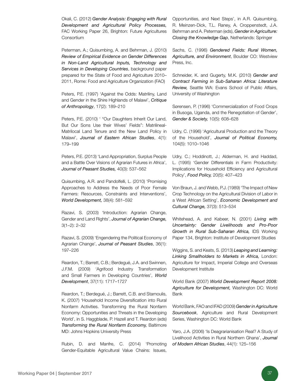Okali, C. (2012) *Gender Analysis: Engaging with Rural Development and Agricultural Policy Processes,*  FAC Working Paper 26, Brighton: Future Agricultures Consortium

Peterman, A.; Quisumbing, A. and Behrman, J. (2010) *Review of Empirical Evidence on Gender Differences in Non-Land Agricultural Inputs, Technology and Services in Developing Countries*, background paper prepared for the State of Food and Agriculture 2010– 2011, Rome: Food and Agriculture Organization (FAO)

Peters, P.E. (1997) 'Against the Odds: Matriliny, Land and Gender in the Shire Highlands of Malawi', *Critique of Anthropology*, 17(2): 189–210

Peters, P.E. (2010) ' "Our Daughters Inherit Our Land, But Our Sons Use their Wives' Fields": Matrilineal-Matrilocal Land Tenure and the New Land Policy in Malawi', *Journal of Eastern African Studies*, 4(1): 179–199

Peters, P.E. (2013) 'Land Appropriation, Surplus People and a Battle Over Visions of Agrarian Futures in Africa', *Journal of Peasant Studies,* 40(3): 537–562

Quisumbing, A.R. and Pandolfelli, L. (2010) 'Promising Approaches to Address the Needs of Poor Female Farmers: Resources, Constraints and Interventions', *World Development,* 38(4): 581–592

Razavi, S. (2003) 'Introduction: Agrarian Change, Gender and Land Rights', *Journal of Agrarian Change,*  3(1–2): 2–32

Razavi, S. (2009) 'Engendering the Political Economy of Agrarian Change', *Journal of Peasant Studies*, 36(1): 197–226

Reardon, T.; Barrett, C.B.; Berdegué, J.A. and Swinnen, J.F.M. (2009) 'Agrifood Industry Transformation and Small Farmers in Developing Countries', *World Development*, 37(11): 1717–1727

Reardon, T.; Berdegué, J.; Barrett, C.B. and Stamoulis, K. (2007) 'Household Income Diversification into Rural Nonfarm Activities. Transforming the Rural Nonfarm Economy: Opportunities and Threats in the Developing World', in S. Haggblade, P. Hazell and T. Reardon (eds) *Transforming the Rural Nonfarm Economy,* Baltimore MD: Johns Hopkins University Press

Rubin, D. and Manfre, C. (2014) 'Promoting Gender-Equitable Agricultural Value Chains: Issues,

Opportunities, and Next Steps', in A.R. Quisumbing, R. Meinzen-Dick, T.L. Raney, A. Croppenstedt, J.A. Behrman and A. Peterman (eds), *Gender in Agriculture: Closing the Knowledge Gap*, Netherlands: Springer

Sachs, C. (1996) *Gendered Fields: Rural Women, Agriculture, and Environment*, Boulder CO: Westview Press, Inc.

Schneider, K. and Gugerty, M.K. (2010) *Gender and Contract Farming in Sub-Saharan Africa: Literature Review,* Seattle WA: Evans School of Public Affairs, University of Washington

Sørensen, P. (1996) 'Commercialization of Food Crops in Busoga, Uganda, and the Renegotiation of Gender', *Gender & Society,* 10(5): 608–628

Udry, C. (1996) 'Agricultural Production and the Theory of the Household', *Journal of Political Economy,* 104(5): 1010–1046

Udry, C.; Hoddinott, J.; Alderman, H. and Haddad, L. (1995) 'Gender Differentials in Farm Productivity: Implications for Household Efficiency and Agricultural Policy', *Food Policy,* 20(5): 407–423

Von Braun, J. and Webb, P.J. (1989) 'The Impact of New Crop Technology on the Agricultural Division of Labor in a West African Setting', *Economic Development and Cultural Change,* 37(3): 513–534

Whitehead, A. and Kabeer, N. (2001) *Living with Uncertainty: Gender Livelihoods and Pro-Poor Growth in Rural Sub-Saharan Africa,* IDS Working Paper 134, Brighton: Institute of Development Studies

Wiggins, S. and Keats, S. (2013) *Leaping and Learning: Linking Smallholders to Markets in Africa,* London: Agriculture for Impact, Imperial College and Overseas Development Institute

World Bank (2007) *World Development Report 2008: Agriculture for Development,* Washington DC: World Bank

World Bank, FAO and IFAD (2009) *Gender in Agriculture Sourcebook*, Agriculture and Rural Development Series, Washington DC: World Bank

Yaro, J.A. (2006) 'Is Deagrarianisation Real? A Study of Livelihood Activities in Rural Northern Ghana', *Journal of Modern African Studies*, 44(1): 125–156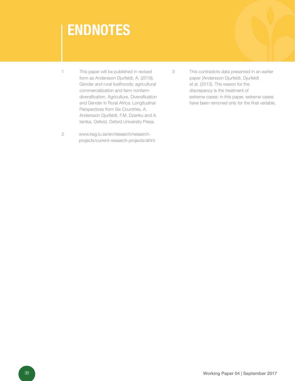# **ENDNOTES**

1 This paper will be published in revised form as Andersson Djurfeldt, A. (2018). Gender and rural livelihoods: agricultural commercialization and farm nonfarm diversification. Agriculture, Diversification and Gender in Rural Africa: Longitudinal Perspectives from Six Countries. A. Andersson Djurfeldt, F.M. Dzanku and A. Isinika. Oxford, Oxford University Press.

2 www.keg.lu.se/en/research/researchprojects/current-research-projects/afrint 3 This contradicts data presented in an earlier paper (Andersson Djurfeldt, Djurfeldt et al. (2013). The reason for the discrepancy is the treatment of extreme cases: in this paper, extreme cases have been removed only for the final variable.